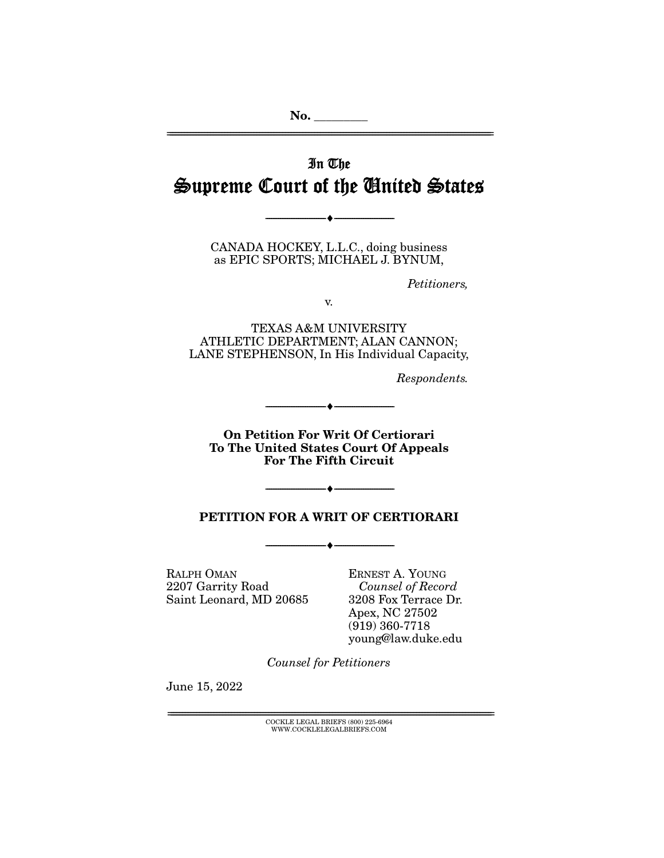**No. \_\_\_\_\_\_\_\_\_**  ================================================================================================================

# In The Supreme Court of the United States

--------------------------------- ♦ ---------------------------------

CANADA HOCKEY, L.L.C., doing business as EPIC SPORTS; MICHAEL J. BYNUM,

Petitioners,

v.

TEXAS A&M UNIVERSITY ATHLETIC DEPARTMENT; ALAN CANNON; LANE STEPHENSON, In His Individual Capacity,

Respondents.

**On Petition For Writ Of Certiorari To The United States Court Of Appeals For The Fifth Circuit** 

--------------------------------- ♦ ---------------------------------

### **PETITION FOR A WRIT OF CERTIORARI**

--------------------------------- ♦ ---------------------------------

--------------------------------- ♦ ---------------------------------

RALPH OMAN 2207 Garrity Road Saint Leonard, MD 20685

ERNEST A. YOUNG Counsel of Record 3208 Fox Terrace Dr. Apex, NC 27502 (919) 360-7718 young@law.duke.edu

Counsel for Petitioners

June 15, 2022

 $\text{COCKLE LEGAL BRIEFS}$  (800) 225-6964 WWW.COCKLELEGALBRIEFS.COM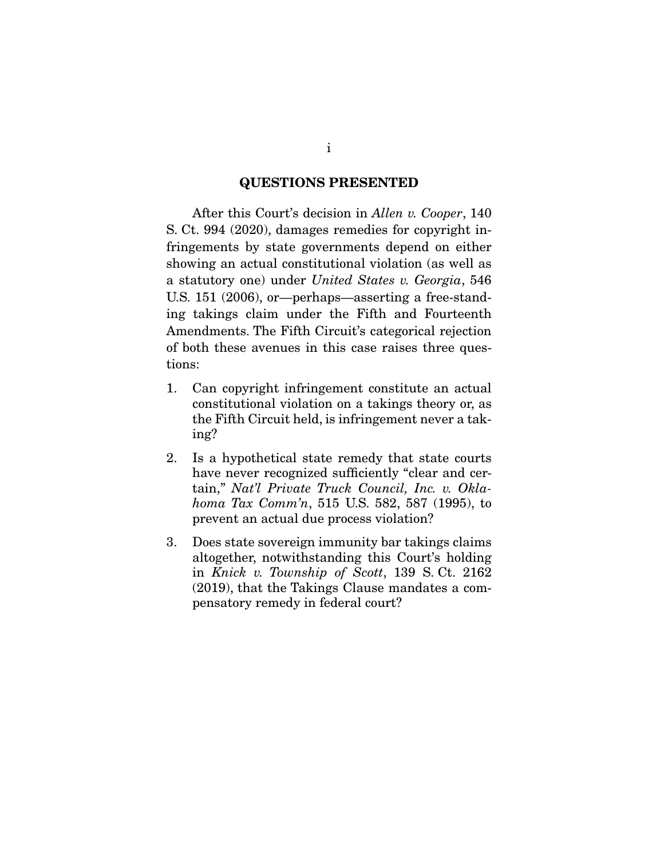#### **QUESTIONS PRESENTED**

 After this Court's decision in *Allen v. Cooper*, 140 S. Ct. 994 (2020), damages remedies for copyright infringements by state governments depend on either showing an actual constitutional violation (as well as a statutory one) under *United States v. Georgia*, 546 U.S. 151 (2006), or—perhaps—asserting a free-standing takings claim under the Fifth and Fourteenth Amendments. The Fifth Circuit's categorical rejection of both these avenues in this case raises three questions:

- 1. Can copyright infringement constitute an actual constitutional violation on a takings theory or, as the Fifth Circuit held, is infringement never a taking?
- 2. Is a hypothetical state remedy that state courts have never recognized sufficiently "clear and certain," *Nat'l Private Truck Council, Inc. v. Oklahoma Tax Comm'n*, 515 U.S. 582, 587 (1995), to prevent an actual due process violation?
- 3. Does state sovereign immunity bar takings claims altogether, notwithstanding this Court's holding in *Knick v. Township of Scott*, 139 S. Ct. 2162 (2019), that the Takings Clause mandates a compensatory remedy in federal court?

i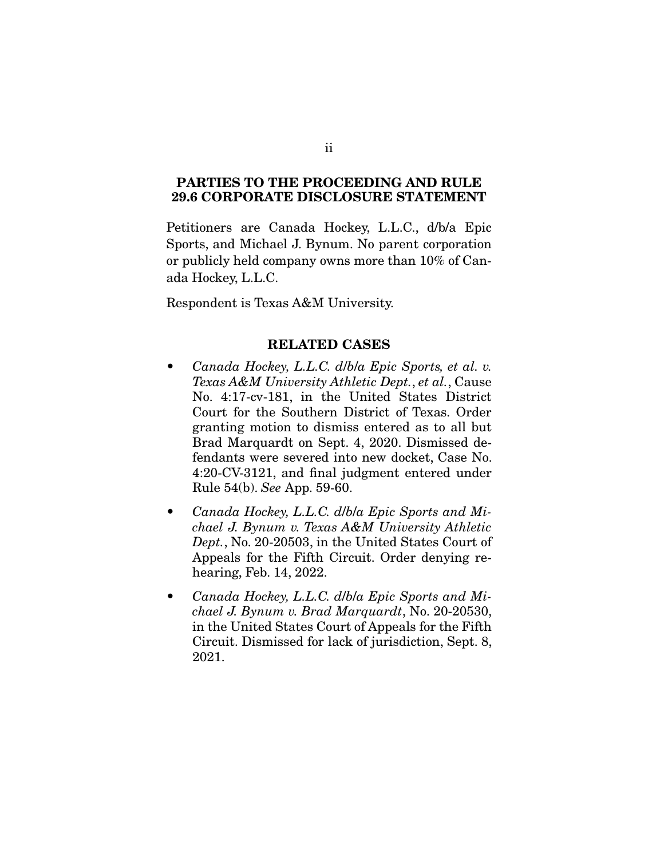#### **PARTIES TO THE PROCEEDING AND RULE 29.6 CORPORATE DISCLOSURE STATEMENT**

Petitioners are Canada Hockey, L.L.C., d/b/a Epic Sports, and Michael J. Bynum. No parent corporation or publicly held company owns more than 10% of Canada Hockey, L.L.C.

Respondent is Texas A&M University.

#### **RELATED CASES**

- *Canada Hockey, L.L.C. d*/*b*/*a Epic Sports, et al. v. Texas A&M University Athletic Dept.*, *et al.*, Cause No. 4:17-cv-181, in the United States District Court for the Southern District of Texas. Order granting motion to dismiss entered as to all but Brad Marquardt on Sept. 4, 2020. Dismissed defendants were severed into new docket, Case No. 4:20-CV-3121, and final judgment entered under Rule 54(b). *See* App. 59-60.
- *Canada Hockey, L.L.C. d*/*b*/*a Epic Sports and Michael J. Bynum v. Texas A&M University Athletic Dept.*, No. 20-20503, in the United States Court of Appeals for the Fifth Circuit. Order denying rehearing, Feb. 14, 2022.
- *Canada Hockey, L.L.C. d*/*b*/*a Epic Sports and Michael J. Bynum v. Brad Marquardt*, No. 20-20530, in the United States Court of Appeals for the Fifth Circuit. Dismissed for lack of jurisdiction, Sept. 8, 2021.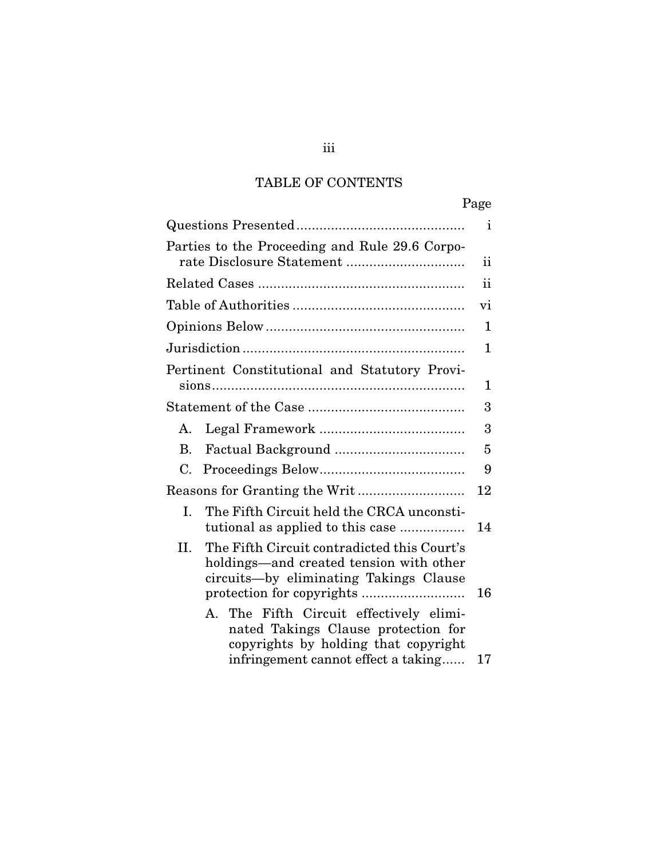# TABLE OF CONTENTS

|                                                                                                                                                               | Page |
|---------------------------------------------------------------------------------------------------------------------------------------------------------------|------|
|                                                                                                                                                               | ı.   |
| Parties to the Proceeding and Rule 29.6 Corpo-                                                                                                                | ij   |
|                                                                                                                                                               | ii   |
|                                                                                                                                                               | vi   |
|                                                                                                                                                               | 1    |
|                                                                                                                                                               | 1    |
| Pertinent Constitutional and Statutory Provi-                                                                                                                 | 1    |
|                                                                                                                                                               | 3    |
| А.                                                                                                                                                            | 3    |
| В.                                                                                                                                                            | 5    |
| C.                                                                                                                                                            | 9    |
|                                                                                                                                                               | 12   |
| The Fifth Circuit held the CRCA unconsti-<br>Ι.<br>tutional as applied to this case                                                                           | 14   |
| The Fifth Circuit contradicted this Court's<br>II.<br>holdings—and created tension with other<br>circuits-by eliminating Takings Clause                       | 16   |
| A. The Fifth Circuit effectively elimi-<br>nated Takings Clause protection for<br>copyrights by holding that copyright<br>infringement cannot effect a taking | 17   |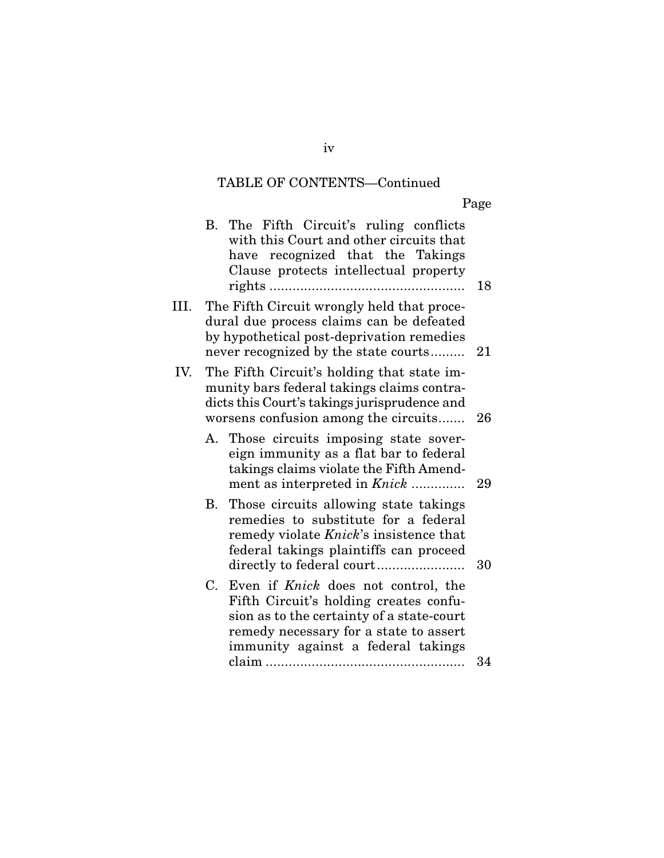# TABLE OF CONTENTS—Continued

Page

|      |             | B. The Fifth Circuit's ruling conflicts<br>with this Court and other circuits that<br>have recognized that the Takings<br>Clause protects intellectual property                                                   | 18 |
|------|-------------|-------------------------------------------------------------------------------------------------------------------------------------------------------------------------------------------------------------------|----|
| III. |             | The Fifth Circuit wrongly held that proce-<br>dural due process claims can be defeated<br>by hypothetical post-deprivation remedies<br>never recognized by the state courts                                       | 21 |
| IV.  |             | The Fifth Circuit's holding that state im-<br>munity bars federal takings claims contra-<br>dicts this Court's takings jurisprudence and<br>worsens confusion among the circuits                                  | 26 |
|      |             | A. Those circuits imposing state sover-<br>eign immunity as a flat bar to federal<br>takings claims violate the Fifth Amend-<br>ment as interpreted in <i>Knick</i>                                               | 29 |
|      |             | B. Those circuits allowing state takings<br>remedies to substitute for a federal<br>remedy violate Knick's insistence that<br>federal takings plaintiffs can proceed                                              | 30 |
|      | $C_{\cdot}$ | Even if <i>Knick</i> does not control, the<br>Fifth Circuit's holding creates confu-<br>sion as to the certainty of a state-court<br>remedy necessary for a state to assert<br>immunity against a federal takings |    |
|      |             |                                                                                                                                                                                                                   | 34 |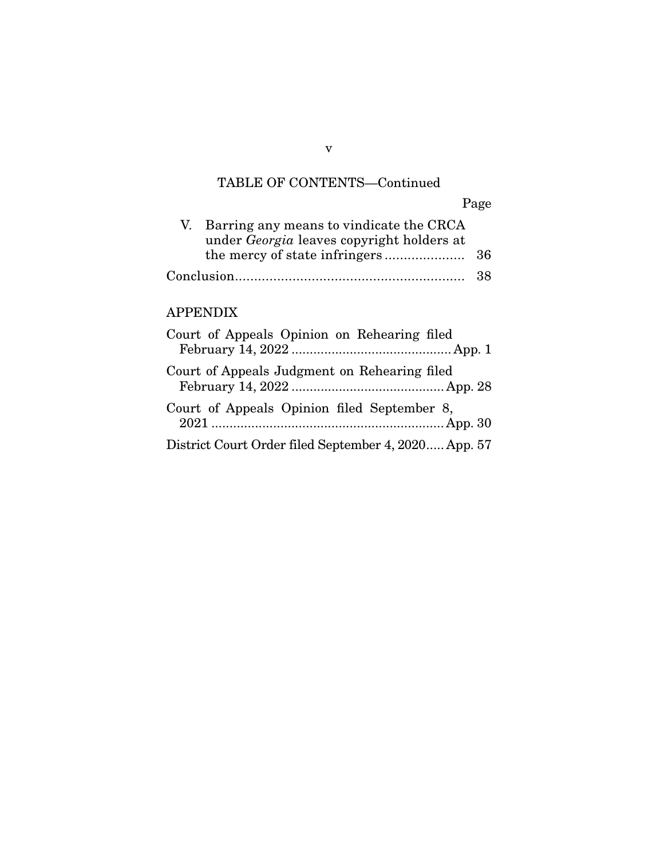# TABLE OF CONTENTS—Continued

Page

| V. Barring any means to vindicate the CRCA<br>under Georgia leaves copyright holders at |  |
|-----------------------------------------------------------------------------------------|--|
|                                                                                         |  |
|                                                                                         |  |

## APPENDIX

| Court of Appeals Opinion on Rehearing filed          |
|------------------------------------------------------|
| Court of Appeals Judgment on Rehearing filed         |
| Court of Appeals Opinion filed September 8,          |
| District Court Order filed September 4, 2020 App. 57 |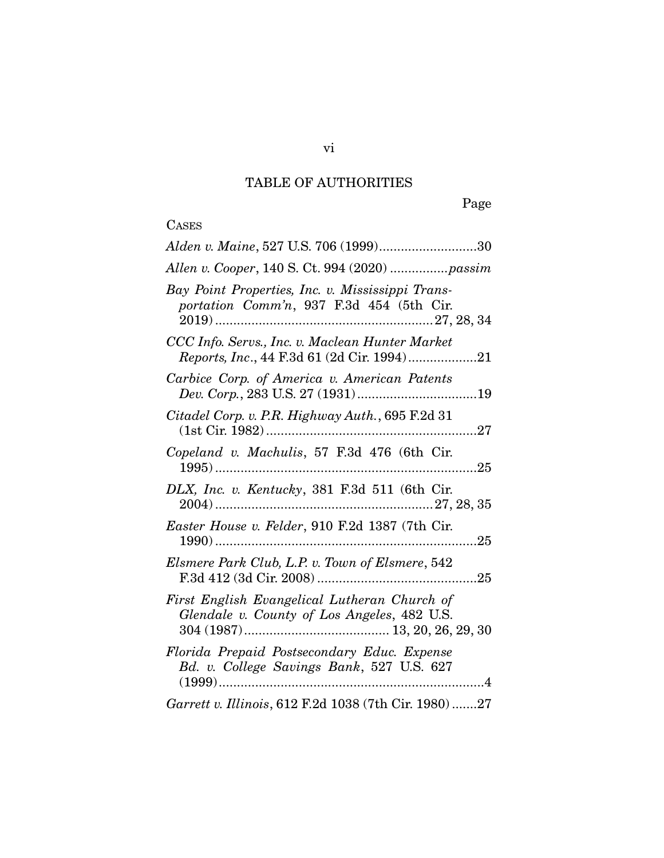# TABLE OF AUTHORITIES

Page

# **CASES**

| Alden v. Maine, 527 U.S. 706 (1999)30                                                         |
|-----------------------------------------------------------------------------------------------|
|                                                                                               |
| Bay Point Properties, Inc. v. Mississippi Trans-<br>portation Comm'n, 937 F.3d 454 (5th Cir.  |
| CCC Info. Servs., Inc. v. Maclean Hunter Market<br>Reports, Inc., 44 F.3d 61 (2d Cir. 1994)21 |
| Carbice Corp. of America v. American Patents                                                  |
| Citadel Corp. v. P.R. Highway Auth., 695 F.2d 31                                              |
| Copeland v. Machulis, 57 F.3d 476 (6th Cir.                                                   |
| DLX, Inc. v. Kentucky, 381 F.3d 511 (6th Cir.                                                 |
| Easter House v. Felder, 910 F.2d 1387 (7th Cir.                                               |
| Elsmere Park Club, L.P. v. Town of Elsmere, 542                                               |
| First English Evangelical Lutheran Church of<br>Glendale v. County of Los Angeles, 482 U.S.   |
| Florida Prepaid Postsecondary Educ. Expense<br>Bd. v. College Savings Bank, 527 U.S. 627      |
| Garrett v. Illinois, 612 F.2d 1038 (7th Cir. 1980) 27                                         |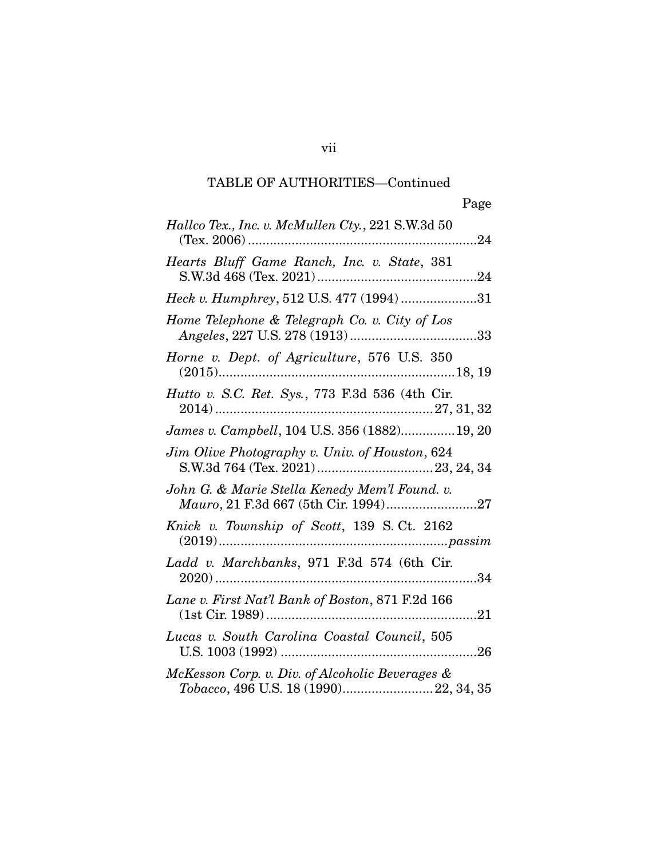vii

| Hallco Tex., Inc. v. McMullen Cty., 221 S.W.3d 50                                         |
|-------------------------------------------------------------------------------------------|
| Hearts Bluff Game Ranch, Inc. v. State, 381                                               |
| Heck v. Humphrey, 512 U.S. 477 (1994) 31                                                  |
| Home Telephone & Telegraph Co. v. City of Los                                             |
| Horne v. Dept. of Agriculture, 576 U.S. 350                                               |
| Hutto v. S.C. Ret. Sys., 773 F.3d 536 (4th Cir.                                           |
| James v. Campbell, 104 U.S. 356 (1882)19, 20                                              |
| Jim Olive Photography v. Univ. of Houston, 624                                            |
| John G. & Marie Stella Kenedy Mem'l Found. v.<br>Mauro, 21 F.3d 667 (5th Cir. 1994)27     |
| Knick v. Township of Scott, 139 S.Ct. 2162                                                |
| Ladd v. Marchbanks, 971 F.3d 574 (6th Cir.                                                |
| Lane v. First Nat'l Bank of Boston, 871 F.2d 166                                          |
| Lucas v. South Carolina Coastal Council, 505                                              |
| McKesson Corp. v. Div. of Alcoholic Beverages &<br>Tobacco, 496 U.S. 18 (1990) 22, 34, 35 |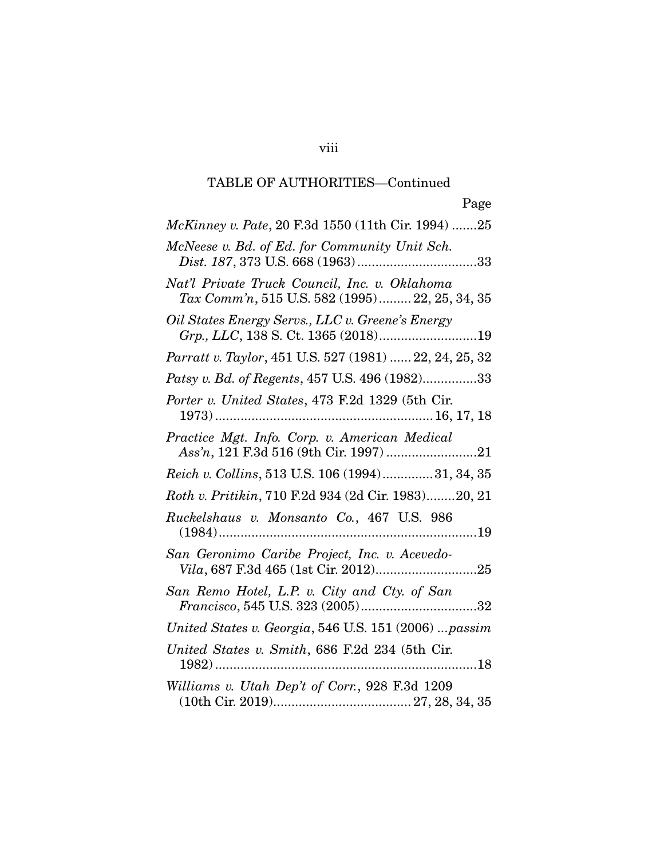| Page                                                                                            |
|-------------------------------------------------------------------------------------------------|
| McKinney v. Pate, 20 F.3d 1550 (11th Cir. 1994) 25                                              |
| McNeese v. Bd. of Ed. for Community Unit Sch.                                                   |
| Nat'l Private Truck Council, Inc. v. Oklahoma<br>Tax Comm'n, 515 U.S. 582 (1995) 22, 25, 34, 35 |
| Oil States Energy Servs., LLC v. Greene's Energy                                                |
| Parratt v. Taylor, 451 U.S. 527 (1981)  22, 24, 25, 32                                          |
| Patsy v. Bd. of Regents, 457 U.S. 496 (1982)33                                                  |
| Porter v. United States, 473 F.2d 1329 (5th Cir.                                                |
| Practice Mgt. Info. Corp. v. American Medical<br>Ass'n, 121 F.3d 516 (9th Cir. 1997) 21         |
| Reich v. Collins, 513 U.S. 106 (1994)31, 34, 35                                                 |
| Roth v. Pritikin, 710 F.2d 934 (2d Cir. 1983)20, 21                                             |
| Ruckelshaus v. Monsanto Co., 467 U.S. 986                                                       |
| San Geronimo Caribe Project, Inc. v. Acevedo-                                                   |
| San Remo Hotel, L.P. v. City and Cty. of San                                                    |
| United States v. Georgia, 546 U.S. 151 (2006)  passim                                           |
| United States v. Smith, 686 F.2d 234 (5th Cir.<br>18                                            |
| Williams v. Utah Dep't of Corr., 928 F.3d 1209                                                  |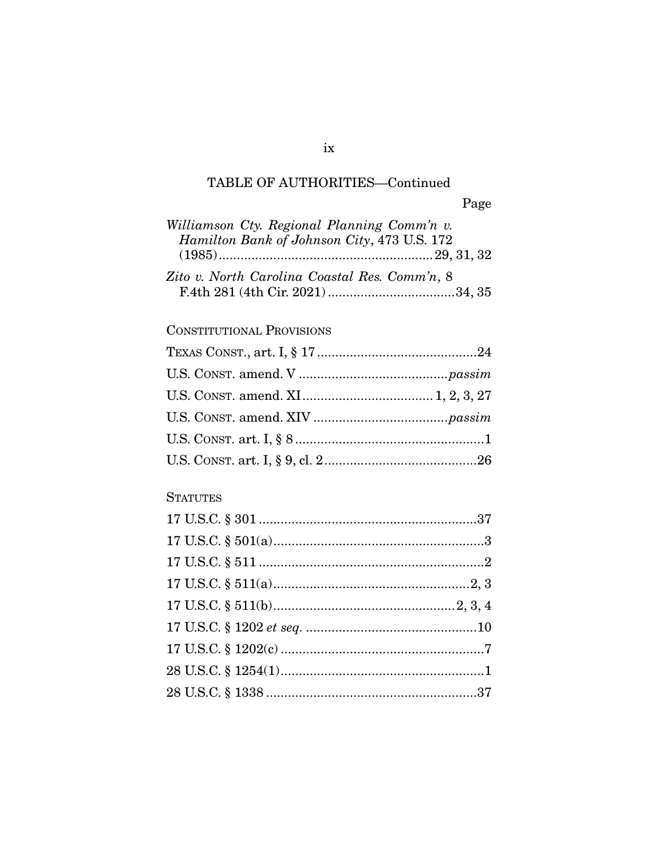| Williamson Cty. Regional Planning Comm'n v.   |  |
|-----------------------------------------------|--|
| Hamilton Bank of Johnson City, 473 U.S. 172   |  |
|                                               |  |
| Zito v. North Carolina Coastal Res. Comm'n, 8 |  |
|                                               |  |

## **CONSTITUTIONAL PROVISIONS**

# **STATUTES**

 $ix$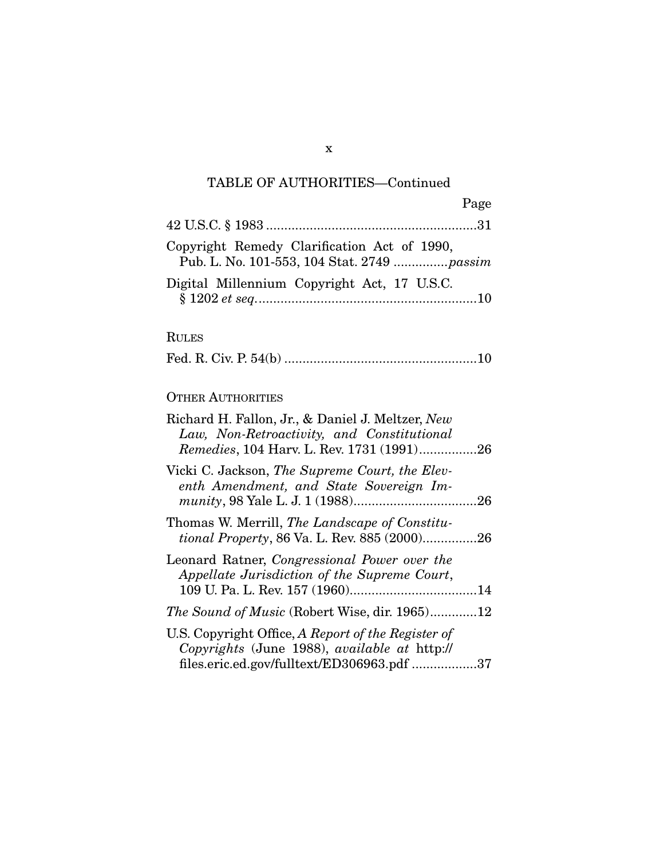| Page                                                                                       |  |
|--------------------------------------------------------------------------------------------|--|
|                                                                                            |  |
| Copyright Remedy Clarification Act of 1990,<br>Pub. L. No. 101-553, 104 Stat. 2749  passim |  |
| Digital Millennium Copyright Act, 17 U.S.C.                                                |  |

### RULES

|--|--|--|--|

## OTHER AUTHORITIES

| Richard H. Fallon, Jr., & Daniel J. Meltzer, New<br>Law, Non-Retroactivity, and Constitutional<br>Remedies, 104 Harv. L. Rev. 1731 (1991)26      |
|--------------------------------------------------------------------------------------------------------------------------------------------------|
| Vicki C. Jackson, The Supreme Court, the Elev-<br>enth Amendment, and State Sovereign Im-                                                        |
| Thomas W. Merrill, The Landscape of Constitu-<br><i>tional Property, 86 Va. L. Rev. 885 (2000)26</i>                                             |
| Leonard Ratner, Congressional Power over the<br>Appellate Jurisdiction of the Supreme Court,                                                     |
| <i>The Sound of Music</i> (Robert Wise, dir. 1965)12                                                                                             |
| U.S. Copyright Office, A Report of the Register of<br>Copyrights (June 1988), available at http://<br>files.eric.ed.gov/fulltext/ED306963.pdf 37 |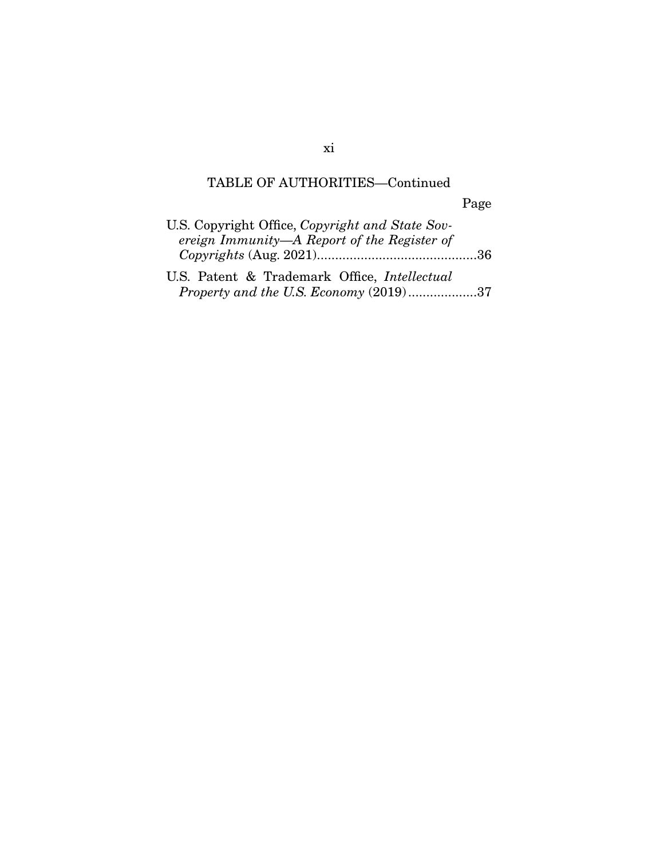|                                                                                                | Page |
|------------------------------------------------------------------------------------------------|------|
| U.S. Copyright Office, Copyright and State Sov-<br>ereign Immunity—A Report of the Register of |      |
| U.S. Patent & Trademark Office, Intellectual                                                   |      |

*Property and the U.S. Economy* (2019) ................... 37

xi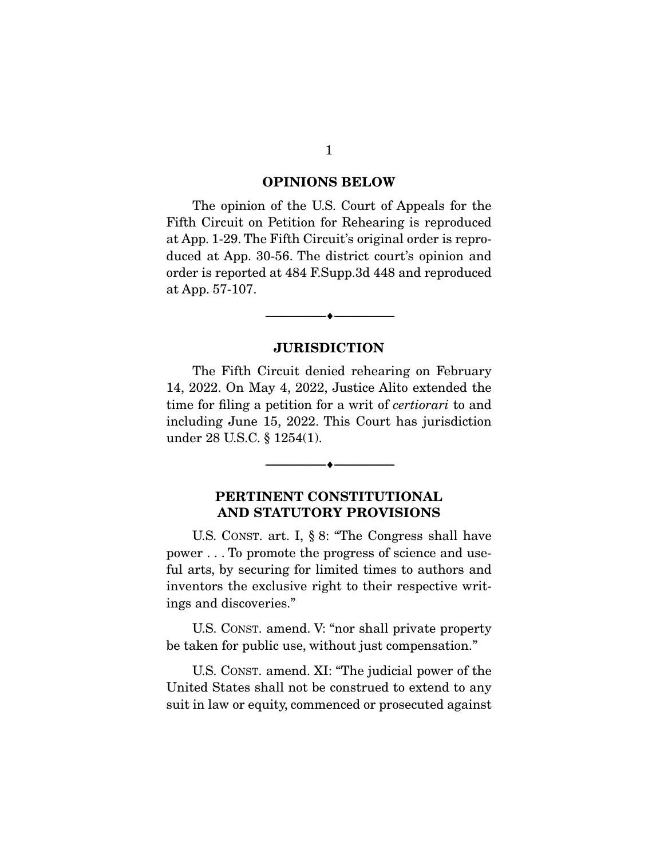#### **OPINIONS BELOW**

 The opinion of the U.S. Court of Appeals for the Fifth Circuit on Petition for Rehearing is reproduced at App. 1-29. The Fifth Circuit's original order is reproduced at App. 30-56. The district court's opinion and order is reported at 484 F.Supp.3d 448 and reproduced at App. 57-107.

#### **JURISDICTION**

 $\overbrace{\hspace{2.5cm}}^{\bullet}$   $\overbrace{\hspace{2.5cm}}^{\bullet}$ 

 The Fifth Circuit denied rehearing on February 14, 2022. On May 4, 2022, Justice Alito extended the time for filing a petition for a writ of certiorari to and including June 15, 2022. This Court has jurisdiction under 28 U.S.C. § 1254(1).

### **PERTINENT CONSTITUTIONAL AND STATUTORY PROVISIONS**

 $\overbrace{\hspace{2.5cm}}^{\bullet}$   $\overbrace{\hspace{2.5cm}}^{\bullet}$ 

 U.S. CONST. art. I, § 8: "The Congress shall have power . . . To promote the progress of science and useful arts, by securing for limited times to authors and inventors the exclusive right to their respective writings and discoveries."

 U.S. CONST. amend. V: "nor shall private property be taken for public use, without just compensation."

 U.S. CONST. amend. XI: "The judicial power of the United States shall not be construed to extend to any suit in law or equity, commenced or prosecuted against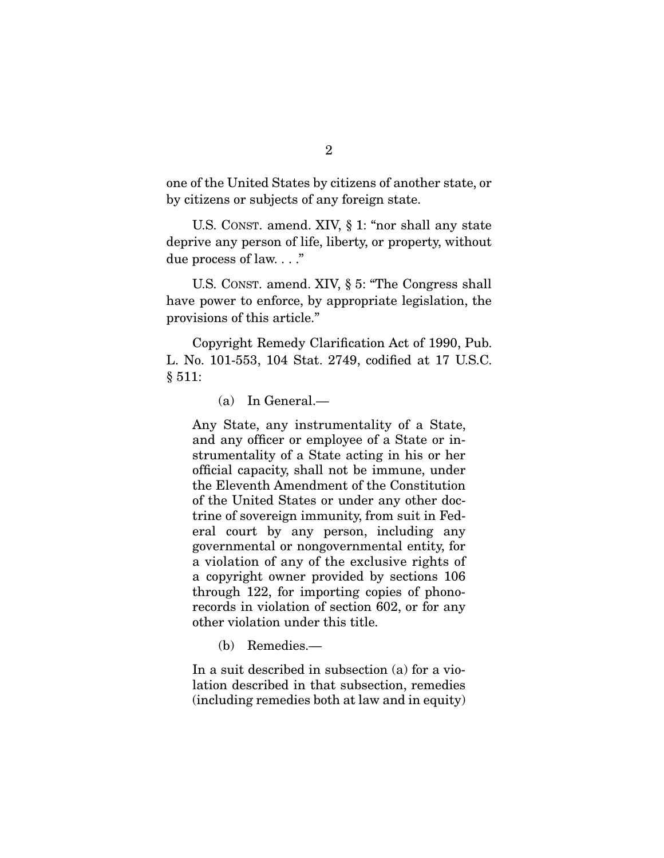one of the United States by citizens of another state, or by citizens or subjects of any foreign state.

 U.S. CONST. amend. XIV, § 1: "nor shall any state deprive any person of life, liberty, or property, without due process of law. . . ."

 U.S. CONST. amend. XIV, § 5: "The Congress shall have power to enforce, by appropriate legislation, the provisions of this article."

 Copyright Remedy Clarification Act of 1990, Pub. L. No. 101-553, 104 Stat. 2749, codified at 17 U.S.C. § 511:

(a) In General.—

Any State, any instrumentality of a State, and any officer or employee of a State or instrumentality of a State acting in his or her official capacity, shall not be immune, under the Eleventh Amendment of the Constitution of the United States or under any other doctrine of sovereign immunity, from suit in Federal court by any person, including any governmental or nongovernmental entity, for a violation of any of the exclusive rights of a copyright owner provided by sections 106 through 122, for importing copies of phonorecords in violation of section 602, or for any other violation under this title.

(b) Remedies.—

In a suit described in subsection (a) for a violation described in that subsection, remedies (including remedies both at law and in equity)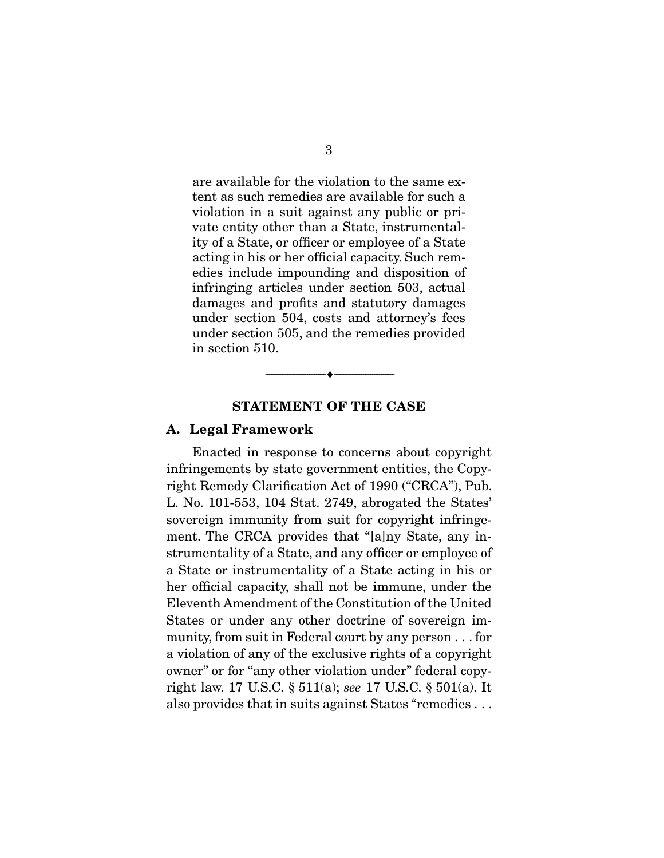are available for the violation to the same extent as such remedies are available for such a violation in a suit against any public or private entity other than a State, instrumentality of a State, or officer or employee of a State acting in his or her official capacity. Such remedies include impounding and disposition of infringing articles under section 503, actual damages and profits and statutory damages under section 504, costs and attorney's fees under section 505, and the remedies provided in section 510.

#### **STATEMENT OF THE CASE**

 $\overbrace{\hspace{2.5cm}}^{\bullet}$   $\overbrace{\hspace{2.5cm}}^{\bullet}$ 

#### **A. Legal Framework**

 Enacted in response to concerns about copyright infringements by state government entities, the Copyright Remedy Clarification Act of 1990 ("CRCA"), Pub. L. No. 101-553, 104 Stat. 2749, abrogated the States' sovereign immunity from suit for copyright infringement. The CRCA provides that "[a]ny State, any instrumentality of a State, and any officer or employee of a State or instrumentality of a State acting in his or her official capacity, shall not be immune, under the Eleventh Amendment of the Constitution of the United States or under any other doctrine of sovereign immunity, from suit in Federal court by any person . . . for a violation of any of the exclusive rights of a copyright owner" or for "any other violation under" federal copyright law. 17 U.S.C. § 511(a); see 17 U.S.C. § 501(a). It also provides that in suits against States "remedies . . .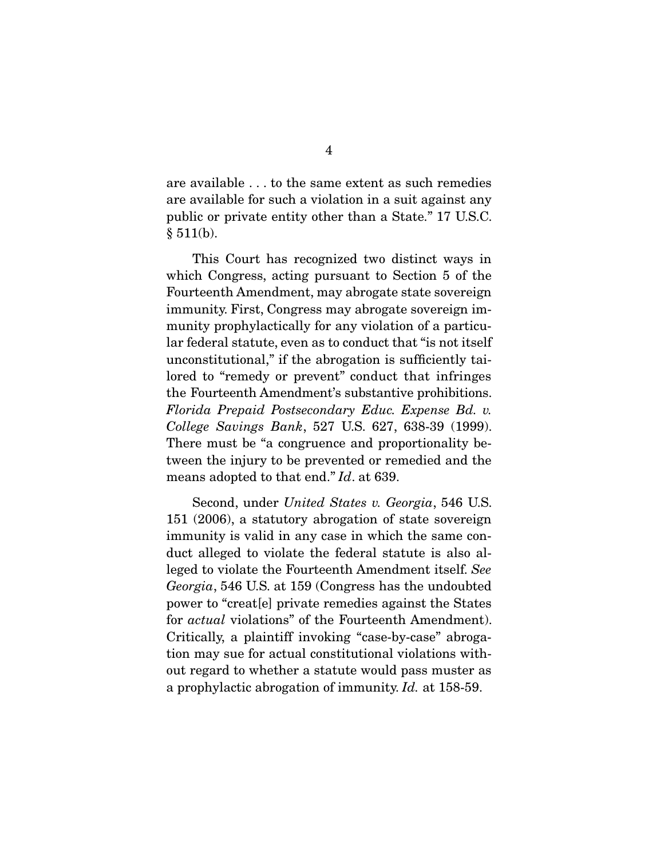are available . . . to the same extent as such remedies are available for such a violation in a suit against any public or private entity other than a State." 17 U.S.C.  $§ 511(b).$ 

 This Court has recognized two distinct ways in which Congress, acting pursuant to Section 5 of the Fourteenth Amendment, may abrogate state sovereign immunity. First, Congress may abrogate sovereign immunity prophylactically for any violation of a particular federal statute, even as to conduct that "is not itself unconstitutional," if the abrogation is sufficiently tailored to "remedy or prevent" conduct that infringes the Fourteenth Amendment's substantive prohibitions. Florida Prepaid Postsecondary Educ. Expense Bd. v. College Savings Bank, 527 U.S. 627, 638-39 (1999). There must be "a congruence and proportionality between the injury to be prevented or remedied and the means adopted to that end." Id. at 639.

 Second, under United States v. Georgia, 546 U.S. 151 (2006), a statutory abrogation of state sovereign immunity is valid in any case in which the same conduct alleged to violate the federal statute is also alleged to violate the Fourteenth Amendment itself. See Georgia, 546 U.S. at 159 (Congress has the undoubted power to "creat[e] private remedies against the States for *actual* violations" of the Fourteenth Amendment). Critically, a plaintiff invoking "case-by-case" abrogation may sue for actual constitutional violations without regard to whether a statute would pass muster as a prophylactic abrogation of immunity. Id. at 158-59.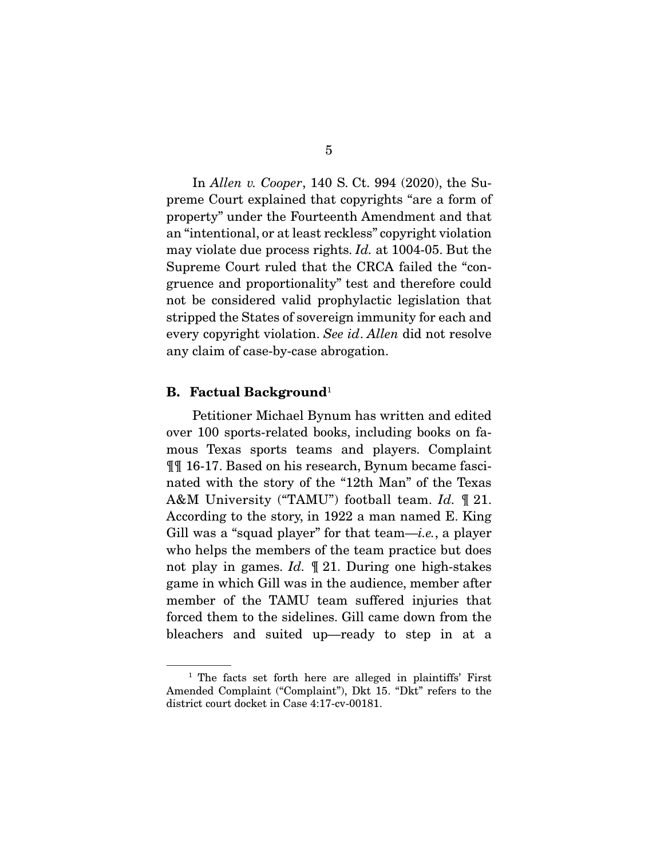In Allen v. Cooper, 140 S. Ct. 994 (2020), the Supreme Court explained that copyrights "are a form of property" under the Fourteenth Amendment and that an "intentional, or at least reckless" copyright violation may violate due process rights. Id. at 1004-05. But the Supreme Court ruled that the CRCA failed the "congruence and proportionality" test and therefore could not be considered valid prophylactic legislation that stripped the States of sovereign immunity for each and every copyright violation. See id. Allen did not resolve any claim of case-by-case abrogation.

#### **B. Factual Background**<sup>1</sup>

 Petitioner Michael Bynum has written and edited over 100 sports-related books, including books on famous Texas sports teams and players. Complaint ¶¶ 16-17. Based on his research, Bynum became fascinated with the story of the "12th Man" of the Texas A&M University ("TAMU") football team. Id.  $\mathbb{I}$  21. According to the story, in 1922 a man named E. King Gill was a "squad player" for that team—*i.e.*, a player who helps the members of the team practice but does not play in games. Id.  $\mathbb{I}$  21. During one high-stakes game in which Gill was in the audience, member after member of the TAMU team suffered injuries that forced them to the sidelines. Gill came down from the bleachers and suited up—ready to step in at a

<sup>&</sup>lt;sup>1</sup> The facts set forth here are alleged in plaintiffs' First Amended Complaint ("Complaint"), Dkt 15. "Dkt" refers to the district court docket in Case 4:17-cv-00181.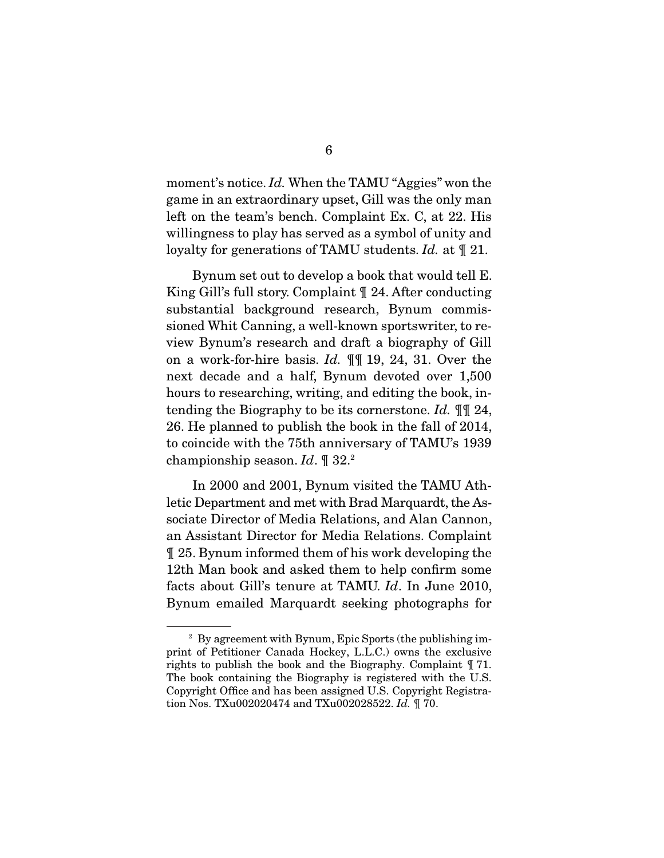moment's notice. Id. When the TAMU "Aggies" won the game in an extraordinary upset, Gill was the only man left on the team's bench. Complaint Ex. C, at 22. His willingness to play has served as a symbol of unity and loyalty for generations of TAMU students. Id. at  $\mathcal{J}_1$  21.

 Bynum set out to develop a book that would tell E. King Gill's full story. Complaint ¶ 24. After conducting substantial background research, Bynum commissioned Whit Canning, a well-known sportswriter, to review Bynum's research and draft a biography of Gill on a work-for-hire basis. Id. ¶¶ 19, 24, 31. Over the next decade and a half, Bynum devoted over 1,500 hours to researching, writing, and editing the book, intending the Biography to be its cornerstone. Id. ¶¶ 24, 26. He planned to publish the book in the fall of 2014, to coincide with the 75th anniversary of TAMU's 1939 championship season. Id.  $\mathbb{I}$  32.<sup>2</sup>

 In 2000 and 2001, Bynum visited the TAMU Athletic Department and met with Brad Marquardt, the Associate Director of Media Relations, and Alan Cannon, an Assistant Director for Media Relations. Complaint ¶ 25. Bynum informed them of his work developing the 12th Man book and asked them to help confirm some facts about Gill's tenure at TAMU. Id. In June 2010, Bynum emailed Marquardt seeking photographs for

<sup>2</sup> By agreement with Bynum, Epic Sports (the publishing imprint of Petitioner Canada Hockey, L.L.C.) owns the exclusive rights to publish the book and the Biography. Complaint ¶ 71. The book containing the Biography is registered with the U.S. Copyright Office and has been assigned U.S. Copyright Registration Nos. TXu002020474 and TXu002028522. Id. ¶ 70.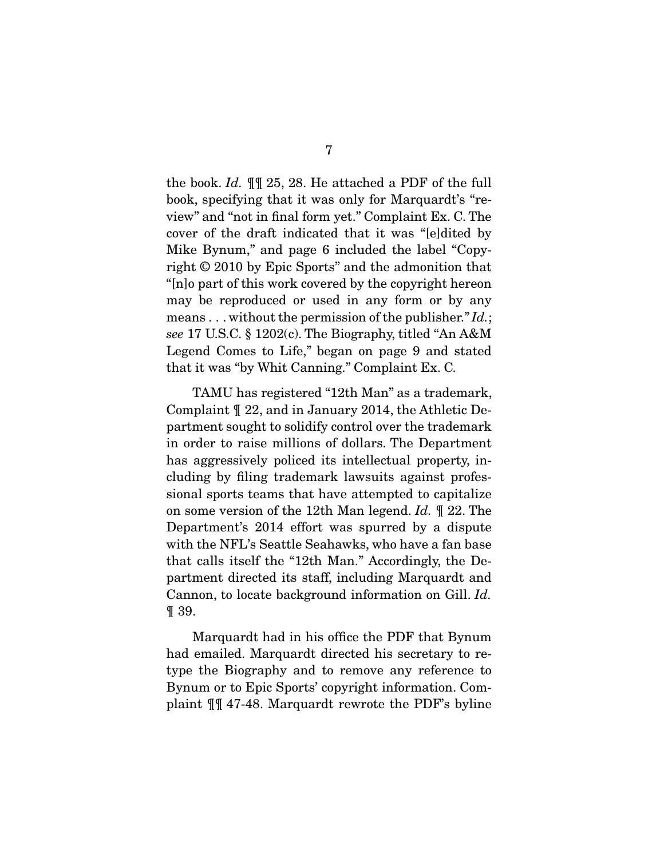the book. Id. ¶¶ 25, 28. He attached a PDF of the full book, specifying that it was only for Marquardt's "review" and "not in final form yet." Complaint Ex. C. The cover of the draft indicated that it was "[e]dited by Mike Bynum," and page 6 included the label "Copyright © 2010 by Epic Sports" and the admonition that "[n]o part of this work covered by the copyright hereon may be reproduced or used in any form or by any means . . . without the permission of the publisher."  $Id$ .; see 17 U.S.C. § 1202(c). The Biography, titled "An A&M Legend Comes to Life," began on page 9 and stated that it was "by Whit Canning." Complaint Ex. C.

 TAMU has registered "12th Man" as a trademark, Complaint ¶ 22, and in January 2014, the Athletic Department sought to solidify control over the trademark in order to raise millions of dollars. The Department has aggressively policed its intellectual property, including by filing trademark lawsuits against professional sports teams that have attempted to capitalize on some version of the 12th Man legend. Id. ¶ 22. The Department's 2014 effort was spurred by a dispute with the NFL's Seattle Seahawks, who have a fan base that calls itself the "12th Man." Accordingly, the Department directed its staff, including Marquardt and Cannon, to locate background information on Gill. Id. ¶ 39.

 Marquardt had in his office the PDF that Bynum had emailed. Marquardt directed his secretary to retype the Biography and to remove any reference to Bynum or to Epic Sports' copyright information. Complaint ¶¶ 47-48. Marquardt rewrote the PDF's byline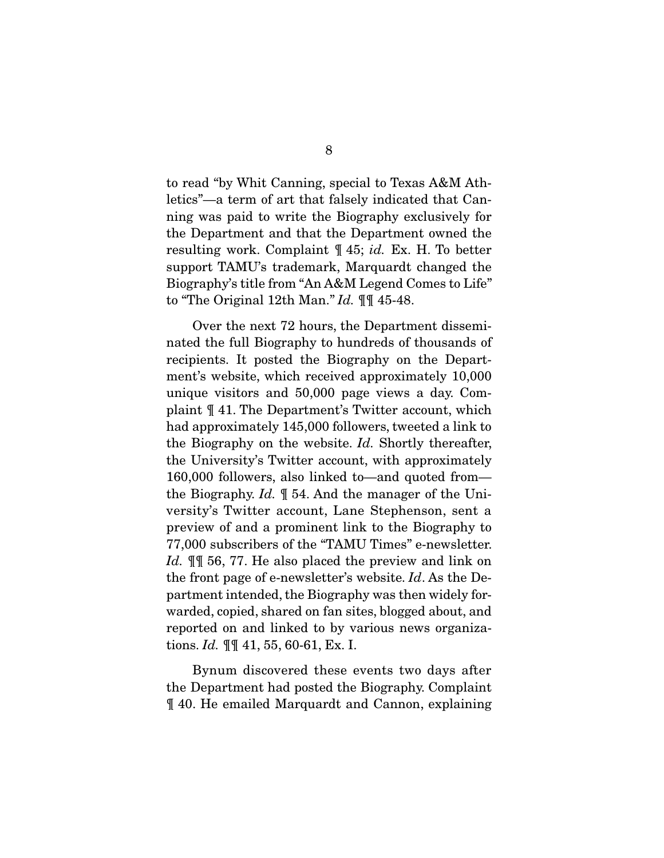to read "by Whit Canning, special to Texas A&M Athletics"—a term of art that falsely indicated that Canning was paid to write the Biography exclusively for the Department and that the Department owned the resulting work. Complaint ¶ 45; id. Ex. H. To better support TAMU's trademark, Marquardt changed the Biography's title from "An A&M Legend Comes to Life" to "The Original 12th Man."  $Id. \parallel \parallel 45-48$ .

 Over the next 72 hours, the Department disseminated the full Biography to hundreds of thousands of recipients. It posted the Biography on the Department's website, which received approximately 10,000 unique visitors and 50,000 page views a day. Complaint ¶ 41. The Department's Twitter account, which had approximately 145,000 followers, tweeted a link to the Biography on the website. Id. Shortly thereafter, the University's Twitter account, with approximately 160,000 followers, also linked to—and quoted from the Biography. Id. ¶ 54. And the manager of the University's Twitter account, Lane Stephenson, sent a preview of and a prominent link to the Biography to 77,000 subscribers of the "TAMU Times" e-newsletter. Id.  $\mathbb{I}$  56, 77. He also placed the preview and link on the front page of e-newsletter's website. Id. As the Department intended, the Biography was then widely forwarded, copied, shared on fan sites, blogged about, and reported on and linked to by various news organizations. *Id.*  $\P\P$  41, 55, 60-61, Ex. I.

 Bynum discovered these events two days after the Department had posted the Biography. Complaint ¶ 40. He emailed Marquardt and Cannon, explaining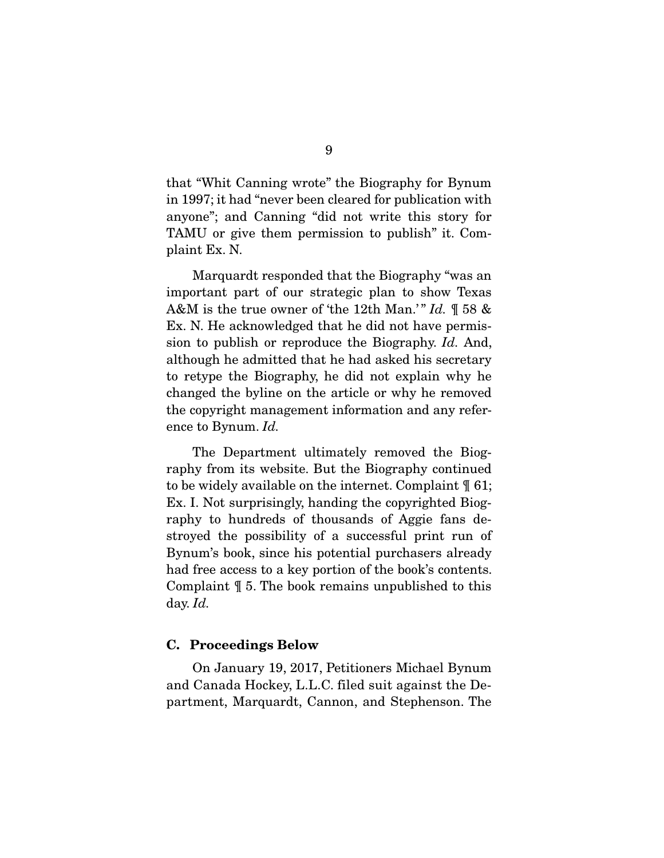that "Whit Canning wrote" the Biography for Bynum in 1997; it had "never been cleared for publication with anyone"; and Canning "did not write this story for TAMU or give them permission to publish" it. Complaint Ex. N.

 Marquardt responded that the Biography "was an important part of our strategic plan to show Texas A&M is the true owner of 'the 12th Man.'" Id.  $\mathbb{I}$  58 & Ex. N. He acknowledged that he did not have permission to publish or reproduce the Biography. Id. And, although he admitted that he had asked his secretary to retype the Biography, he did not explain why he changed the byline on the article or why he removed the copyright management information and any reference to Bynum. Id.

 The Department ultimately removed the Biography from its website. But the Biography continued to be widely available on the internet. Complaint ¶ 61; Ex. I. Not surprisingly, handing the copyrighted Biography to hundreds of thousands of Aggie fans destroyed the possibility of a successful print run of Bynum's book, since his potential purchasers already had free access to a key portion of the book's contents. Complaint ¶ 5. The book remains unpublished to this day. Id.

#### **C. Proceedings Below**

 On January 19, 2017, Petitioners Michael Bynum and Canada Hockey, L.L.C. filed suit against the Department, Marquardt, Cannon, and Stephenson. The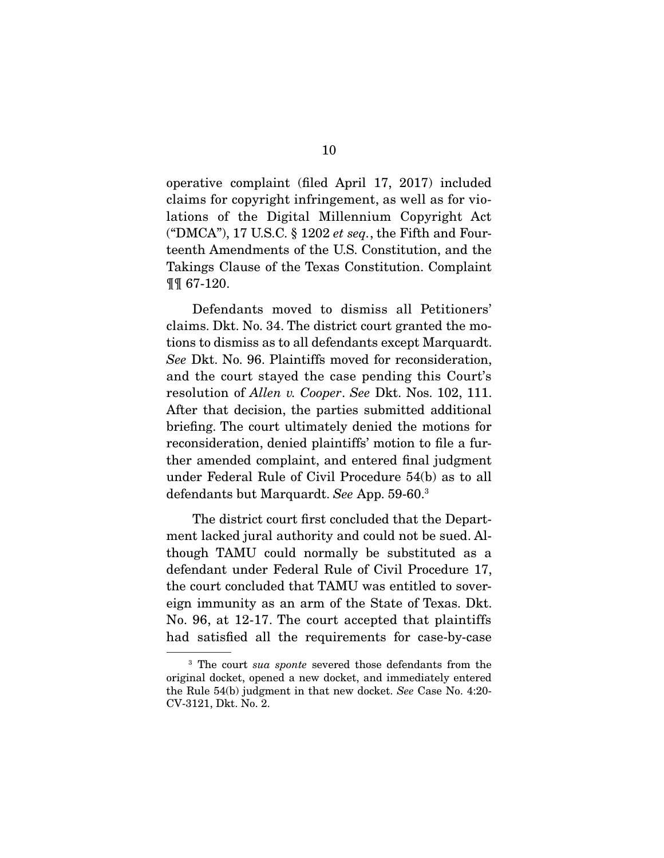operative complaint (filed April 17, 2017) included claims for copyright infringement, as well as for violations of the Digital Millennium Copyright Act ("DMCA"), 17 U.S.C.  $\S$  1202 et seq., the Fifth and Fourteenth Amendments of the U.S. Constitution, and the Takings Clause of the Texas Constitution. Complaint ¶¶ 67-120.

 Defendants moved to dismiss all Petitioners' claims. Dkt. No. 34. The district court granted the motions to dismiss as to all defendants except Marquardt. See Dkt. No. 96. Plaintiffs moved for reconsideration, and the court stayed the case pending this Court's resolution of Allen v. Cooper. See Dkt. Nos. 102, 111. After that decision, the parties submitted additional briefing. The court ultimately denied the motions for reconsideration, denied plaintiffs' motion to file a further amended complaint, and entered final judgment under Federal Rule of Civil Procedure 54(b) as to all defendants but Marquardt. See App. 59-60.3

 The district court first concluded that the Department lacked jural authority and could not be sued. Although TAMU could normally be substituted as a defendant under Federal Rule of Civil Procedure 17, the court concluded that TAMU was entitled to sovereign immunity as an arm of the State of Texas. Dkt. No. 96, at 12-17. The court accepted that plaintiffs had satisfied all the requirements for case-by-case

<sup>&</sup>lt;sup>3</sup> The court *sua sponte* severed those defendants from the original docket, opened a new docket, and immediately entered the Rule 54(b) judgment in that new docket. See Case No. 4:20- CV-3121, Dkt. No. 2.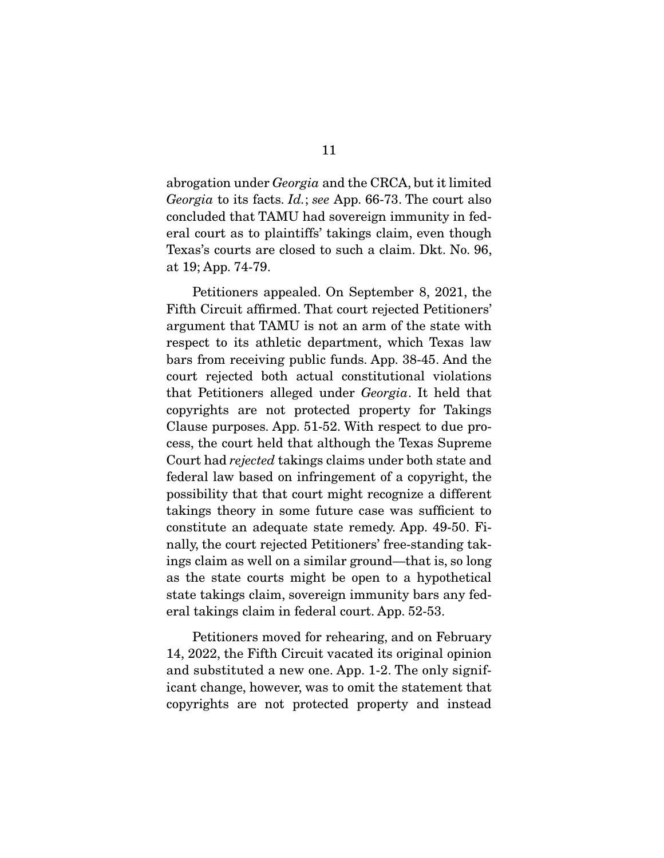abrogation under Georgia and the CRCA, but it limited Georgia to its facts. Id.; see App. 66-73. The court also concluded that TAMU had sovereign immunity in federal court as to plaintiffs' takings claim, even though Texas's courts are closed to such a claim. Dkt. No. 96, at 19; App. 74-79.

 Petitioners appealed. On September 8, 2021, the Fifth Circuit affirmed. That court rejected Petitioners' argument that TAMU is not an arm of the state with respect to its athletic department, which Texas law bars from receiving public funds. App. 38-45. And the court rejected both actual constitutional violations that Petitioners alleged under Georgia. It held that copyrights are not protected property for Takings Clause purposes. App. 51-52. With respect to due process, the court held that although the Texas Supreme Court had rejected takings claims under both state and federal law based on infringement of a copyright, the possibility that that court might recognize a different takings theory in some future case was sufficient to constitute an adequate state remedy. App. 49-50. Finally, the court rejected Petitioners' free-standing takings claim as well on a similar ground—that is, so long as the state courts might be open to a hypothetical state takings claim, sovereign immunity bars any federal takings claim in federal court. App. 52-53.

 Petitioners moved for rehearing, and on February 14, 2022, the Fifth Circuit vacated its original opinion and substituted a new one. App. 1-2. The only significant change, however, was to omit the statement that copyrights are not protected property and instead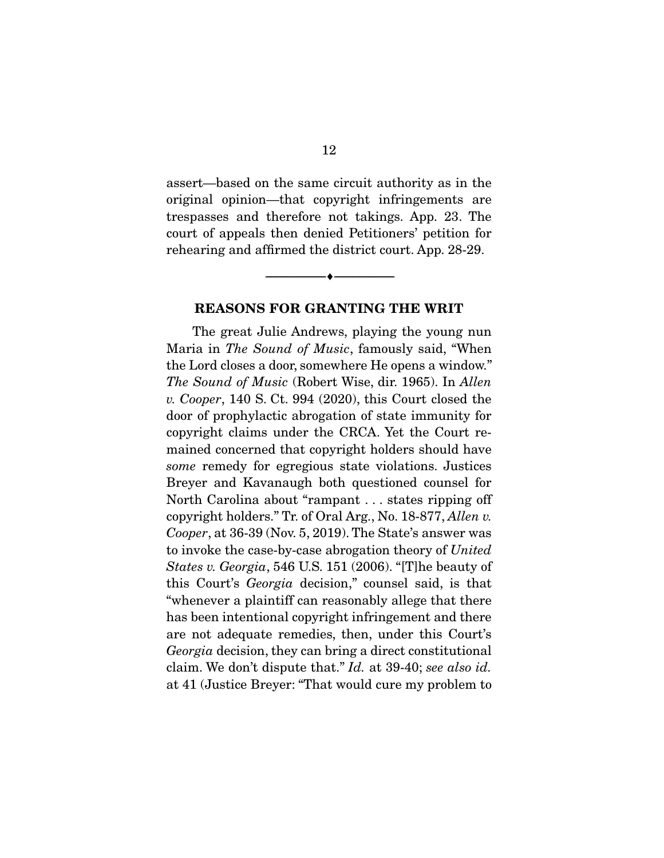assert—based on the same circuit authority as in the original opinion—that copyright infringements are trespasses and therefore not takings. App. 23. The court of appeals then denied Petitioners' petition for rehearing and affirmed the district court. App. 28-29.

#### **REASONS FOR GRANTING THE WRIT**

 $\overbrace{\hspace{2.5cm}}^{\bullet}$   $\overbrace{\hspace{2.5cm}}^{\bullet}$ 

 The great Julie Andrews, playing the young nun Maria in The Sound of Music, famously said, "When the Lord closes a door, somewhere He opens a window." The Sound of Music (Robert Wise, dir. 1965). In Allen v. Cooper, 140 S. Ct. 994 (2020), this Court closed the door of prophylactic abrogation of state immunity for copyright claims under the CRCA. Yet the Court remained concerned that copyright holders should have some remedy for egregious state violations. Justices Breyer and Kavanaugh both questioned counsel for North Carolina about "rampant . . . states ripping off copyright holders." Tr. of Oral Arg., No. 18-877, Allen v. Cooper, at 36-39 (Nov. 5, 2019). The State's answer was to invoke the case-by-case abrogation theory of United States v. Georgia, 546 U.S. 151 (2006). "[T]he beauty of this Court's Georgia decision," counsel said, is that "whenever a plaintiff can reasonably allege that there has been intentional copyright infringement and there are not adequate remedies, then, under this Court's Georgia decision, they can bring a direct constitutional claim. We don't dispute that." Id. at 39-40; see also id. at 41 (Justice Breyer: "That would cure my problem to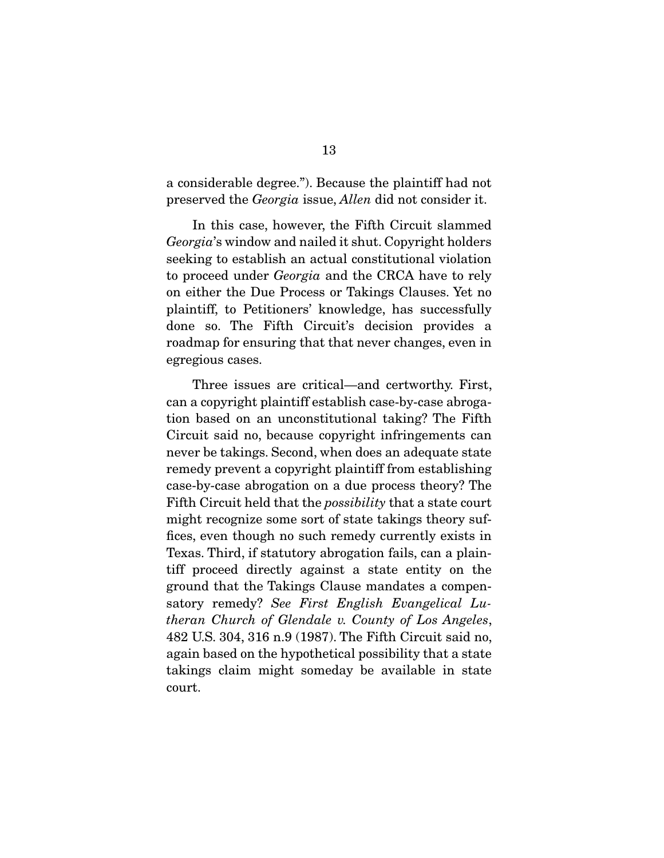a considerable degree."). Because the plaintiff had not preserved the Georgia issue, Allen did not consider it.

 In this case, however, the Fifth Circuit slammed Georgia's window and nailed it shut. Copyright holders seeking to establish an actual constitutional violation to proceed under Georgia and the CRCA have to rely on either the Due Process or Takings Clauses. Yet no plaintiff, to Petitioners' knowledge, has successfully done so. The Fifth Circuit's decision provides a roadmap for ensuring that that never changes, even in egregious cases.

 Three issues are critical—and certworthy. First, can a copyright plaintiff establish case-by-case abrogation based on an unconstitutional taking? The Fifth Circuit said no, because copyright infringements can never be takings. Second, when does an adequate state remedy prevent a copyright plaintiff from establishing case-by-case abrogation on a due process theory? The Fifth Circuit held that the possibility that a state court might recognize some sort of state takings theory suffices, even though no such remedy currently exists in Texas. Third, if statutory abrogation fails, can a plaintiff proceed directly against a state entity on the ground that the Takings Clause mandates a compensatory remedy? See First English Evangelical Lutheran Church of Glendale v. County of Los Angeles, 482 U.S. 304, 316 n.9 (1987). The Fifth Circuit said no, again based on the hypothetical possibility that a state takings claim might someday be available in state court.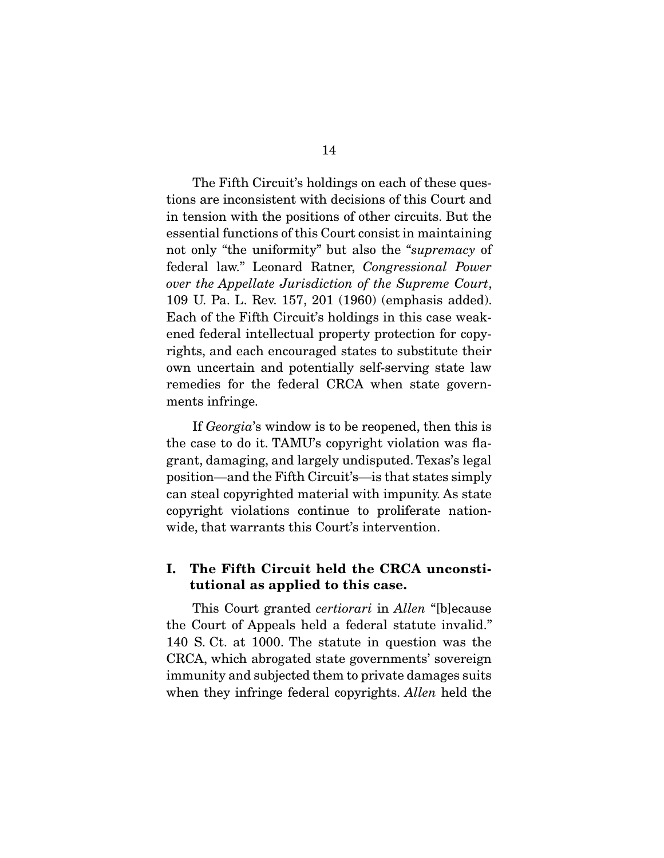The Fifth Circuit's holdings on each of these questions are inconsistent with decisions of this Court and in tension with the positions of other circuits. But the essential functions of this Court consist in maintaining not only "the uniformity" but also the "supremacy of federal law." Leonard Ratner, Congressional Power over the Appellate Jurisdiction of the Supreme Court, 109 U. Pa. L. Rev. 157, 201 (1960) (emphasis added). Each of the Fifth Circuit's holdings in this case weakened federal intellectual property protection for copyrights, and each encouraged states to substitute their own uncertain and potentially self-serving state law remedies for the federal CRCA when state governments infringe.

If *Georgia*'s window is to be reopened, then this is the case to do it. TAMU's copyright violation was flagrant, damaging, and largely undisputed. Texas's legal position—and the Fifth Circuit's—is that states simply can steal copyrighted material with impunity. As state copyright violations continue to proliferate nationwide, that warrants this Court's intervention.

### **I. The Fifth Circuit held the CRCA unconstitutional as applied to this case.**

 This Court granted certiorari in Allen "[b]ecause the Court of Appeals held a federal statute invalid." 140 S. Ct. at 1000. The statute in question was the CRCA, which abrogated state governments' sovereign immunity and subjected them to private damages suits when they infringe federal copyrights. Allen held the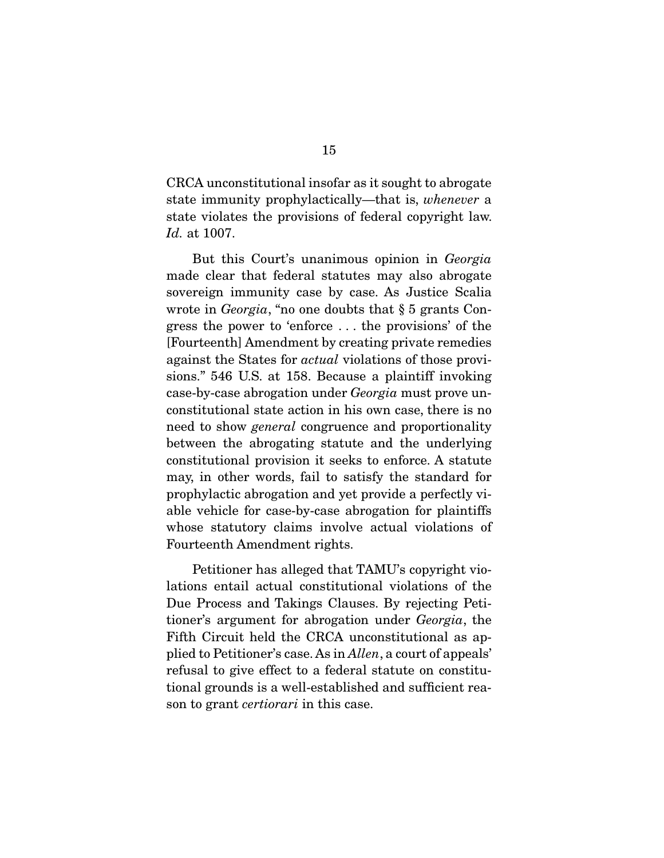CRCA unconstitutional insofar as it sought to abrogate state immunity prophylactically—that is, whenever a state violates the provisions of federal copyright law. Id. at 1007.

 But this Court's unanimous opinion in Georgia made clear that federal statutes may also abrogate sovereign immunity case by case. As Justice Scalia wrote in Georgia, "no one doubts that § 5 grants Congress the power to 'enforce . . . the provisions' of the [Fourteenth] Amendment by creating private remedies against the States for actual violations of those provisions." 546 U.S. at 158. Because a plaintiff invoking case-by-case abrogation under Georgia must prove unconstitutional state action in his own case, there is no need to show general congruence and proportionality between the abrogating statute and the underlying constitutional provision it seeks to enforce. A statute may, in other words, fail to satisfy the standard for prophylactic abrogation and yet provide a perfectly viable vehicle for case-by-case abrogation for plaintiffs whose statutory claims involve actual violations of Fourteenth Amendment rights.

 Petitioner has alleged that TAMU's copyright violations entail actual constitutional violations of the Due Process and Takings Clauses. By rejecting Petitioner's argument for abrogation under Georgia, the Fifth Circuit held the CRCA unconstitutional as applied to Petitioner's case. As in Allen, a court of appeals' refusal to give effect to a federal statute on constitutional grounds is a well-established and sufficient reason to grant certiorari in this case.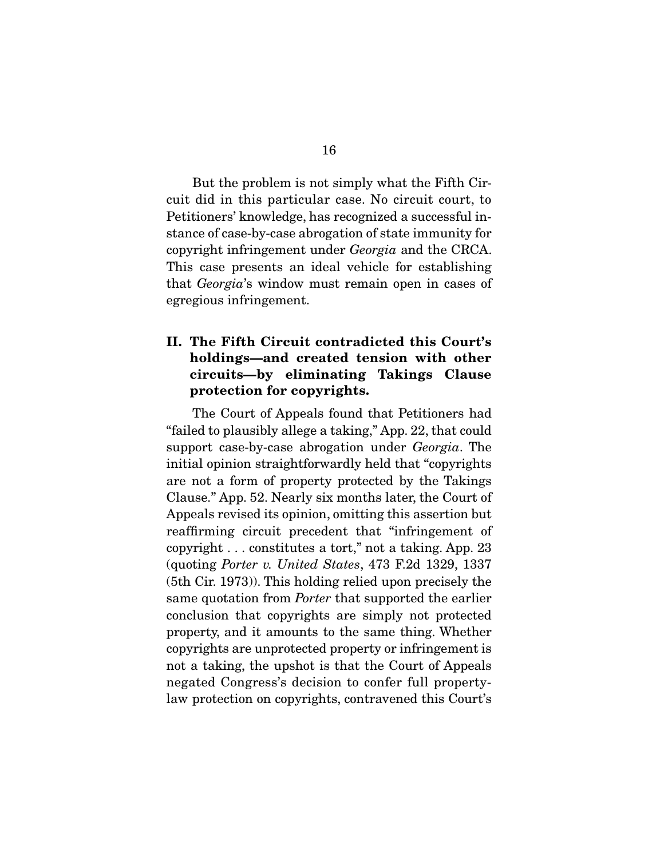But the problem is not simply what the Fifth Circuit did in this particular case. No circuit court, to Petitioners' knowledge, has recognized a successful instance of case-by-case abrogation of state immunity for copyright infringement under Georgia and the CRCA. This case presents an ideal vehicle for establishing that Georgia's window must remain open in cases of egregious infringement.

### **II. The Fifth Circuit contradicted this Court's holdings—and created tension with other circuits—by eliminating Takings Clause protection for copyrights.**

 The Court of Appeals found that Petitioners had "failed to plausibly allege a taking," App. 22, that could support case-by-case abrogation under Georgia. The initial opinion straightforwardly held that "copyrights are not a form of property protected by the Takings Clause." App. 52. Nearly six months later, the Court of Appeals revised its opinion, omitting this assertion but reaffirming circuit precedent that "infringement of copyright . . . constitutes a tort," not a taking. App. 23 (quoting Porter v. United States, 473 F.2d 1329, 1337 (5th Cir. 1973)). This holding relied upon precisely the same quotation from Porter that supported the earlier conclusion that copyrights are simply not protected property, and it amounts to the same thing. Whether copyrights are unprotected property or infringement is not a taking, the upshot is that the Court of Appeals negated Congress's decision to confer full propertylaw protection on copyrights, contravened this Court's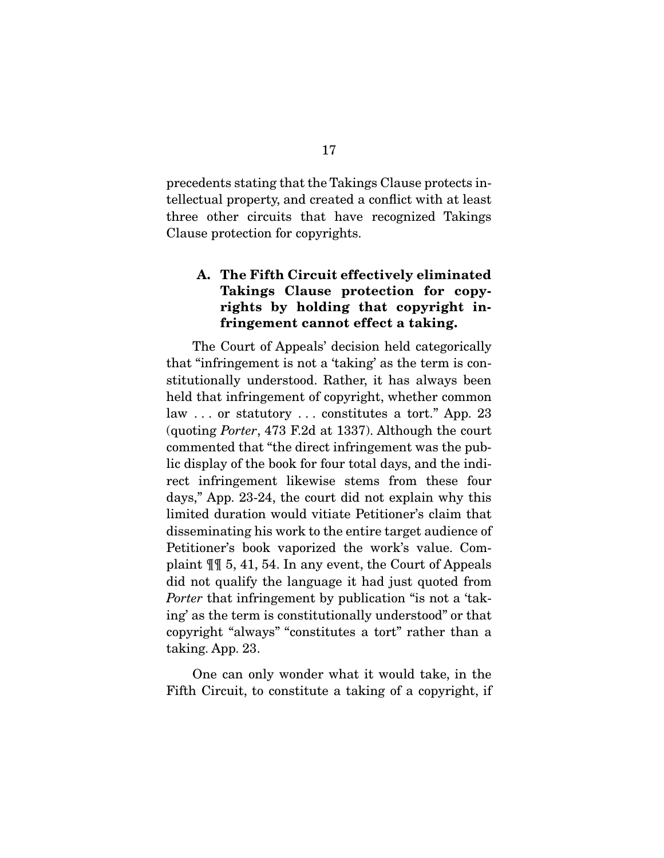precedents stating that the Takings Clause protects intellectual property, and created a conflict with at least three other circuits that have recognized Takings Clause protection for copyrights.

### **A. The Fifth Circuit effectively eliminated Takings Clause protection for copyrights by holding that copyright infringement cannot effect a taking.**

 The Court of Appeals' decision held categorically that "infringement is not a 'taking' as the term is constitutionally understood. Rather, it has always been held that infringement of copyright, whether common law . . . or statutory . . . constitutes a tort." App. 23 (quoting Porter, 473 F.2d at 1337). Although the court commented that "the direct infringement was the public display of the book for four total days, and the indirect infringement likewise stems from these four days," App. 23-24, the court did not explain why this limited duration would vitiate Petitioner's claim that disseminating his work to the entire target audience of Petitioner's book vaporized the work's value. Complaint ¶¶ 5, 41, 54. In any event, the Court of Appeals did not qualify the language it had just quoted from Porter that infringement by publication "is not a 'taking' as the term is constitutionally understood" or that copyright "always" "constitutes a tort" rather than a taking. App. 23.

 One can only wonder what it would take, in the Fifth Circuit, to constitute a taking of a copyright, if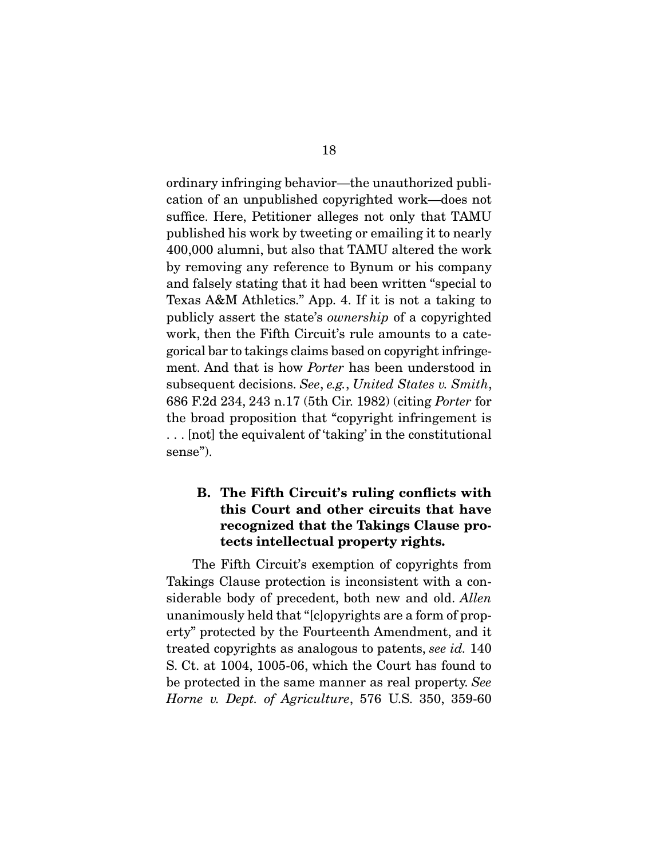ordinary infringing behavior—the unauthorized publication of an unpublished copyrighted work—does not suffice. Here, Petitioner alleges not only that TAMU published his work by tweeting or emailing it to nearly 400,000 alumni, but also that TAMU altered the work by removing any reference to Bynum or his company and falsely stating that it had been written "special to Texas A&M Athletics." App. 4. If it is not a taking to publicly assert the state's ownership of a copyrighted work, then the Fifth Circuit's rule amounts to a categorical bar to takings claims based on copyright infringement. And that is how Porter has been understood in subsequent decisions. See, e.g., United States v. Smith, 686 F.2d 234, 243 n.17 (5th Cir. 1982) (citing Porter for the broad proposition that "copyright infringement is . . . [not] the equivalent of 'taking' in the constitutional sense").

### **B. The Fifth Circuit's ruling conflicts with this Court and other circuits that have recognized that the Takings Clause protects intellectual property rights.**

 The Fifth Circuit's exemption of copyrights from Takings Clause protection is inconsistent with a considerable body of precedent, both new and old. Allen unanimously held that "[c]opyrights are a form of property" protected by the Fourteenth Amendment, and it treated copyrights as analogous to patents, see id. 140 S. Ct. at 1004, 1005-06, which the Court has found to be protected in the same manner as real property. See Horne v. Dept. of Agriculture, 576 U.S. 350, 359-60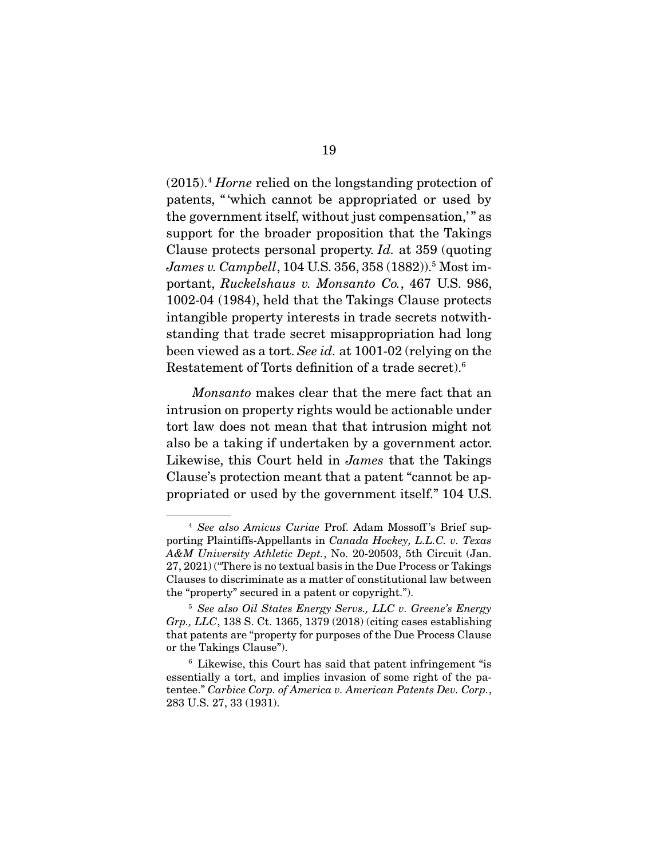$(2015).4$  *Horne* relied on the longstanding protection of patents, " 'which cannot be appropriated or used by the government itself, without just compensation," as support for the broader proposition that the Takings Clause protects personal property. Id. at 359 (quoting James v. Campbell, 104 U.S. 356, 358 (1882)).<sup>5</sup> Most important, Ruckelshaus v. Monsanto Co., 467 U.S. 986, 1002-04 (1984), held that the Takings Clause protects intangible property interests in trade secrets notwithstanding that trade secret misappropriation had long been viewed as a tort. See id. at 1001-02 (relying on the Restatement of Torts definition of a trade secret).6

Monsanto makes clear that the mere fact that an intrusion on property rights would be actionable under tort law does not mean that that intrusion might not also be a taking if undertaken by a government actor. Likewise, this Court held in James that the Takings Clause's protection meant that a patent "cannot be appropriated or used by the government itself." 104 U.S.

<sup>&</sup>lt;sup>4</sup> See also Amicus Curiae Prof. Adam Mossoff's Brief supporting Plaintiffs-Appellants in Canada Hockey, L.L.C. v. Texas A&M University Athletic Dept., No. 20-20503, 5th Circuit (Jan. 27, 2021) ("There is no textual basis in the Due Process or Takings Clauses to discriminate as a matter of constitutional law between the "property" secured in a patent or copyright.").

<sup>5</sup> See also Oil States Energy Servs., LLC v. Greene's Energy Grp., LLC, 138 S. Ct. 1365, 1379 (2018) (citing cases establishing that patents are "property for purposes of the Due Process Clause or the Takings Clause").

<sup>6</sup> Likewise, this Court has said that patent infringement "is essentially a tort, and implies invasion of some right of the patentee." Carbice Corp. of America v. American Patents Dev. Corp., 283 U.S. 27, 33 (1931).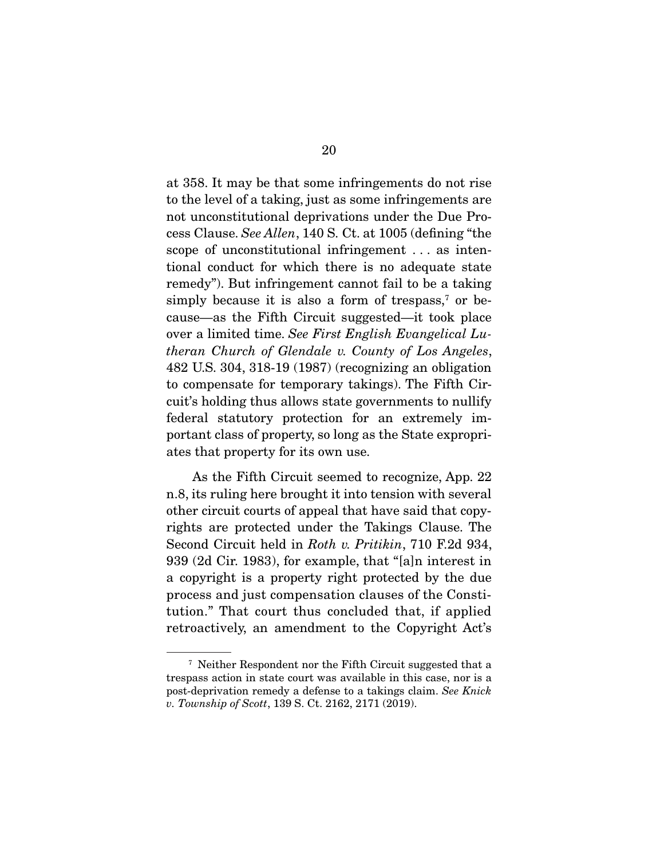at 358. It may be that some infringements do not rise to the level of a taking, just as some infringements are not unconstitutional deprivations under the Due Process Clause. See Allen, 140 S. Ct. at 1005 (defining "the scope of unconstitutional infringement . . . as intentional conduct for which there is no adequate state remedy"). But infringement cannot fail to be a taking simply because it is also a form of trespass,<sup>7</sup> or because—as the Fifth Circuit suggested—it took place over a limited time. See First English Evangelical Lutheran Church of Glendale v. County of Los Angeles, 482 U.S. 304, 318-19 (1987) (recognizing an obligation to compensate for temporary takings). The Fifth Circuit's holding thus allows state governments to nullify federal statutory protection for an extremely important class of property, so long as the State expropriates that property for its own use.

 As the Fifth Circuit seemed to recognize, App. 22 n.8, its ruling here brought it into tension with several other circuit courts of appeal that have said that copyrights are protected under the Takings Clause. The Second Circuit held in Roth v. Pritikin, 710 F.2d 934, 939 (2d Cir. 1983), for example, that "[a]n interest in a copyright is a property right protected by the due process and just compensation clauses of the Constitution." That court thus concluded that, if applied retroactively, an amendment to the Copyright Act's

<sup>7</sup> Neither Respondent nor the Fifth Circuit suggested that a trespass action in state court was available in this case, nor is a post-deprivation remedy a defense to a takings claim. See Knick v. Township of Scott, 139 S. Ct. 2162, 2171 (2019).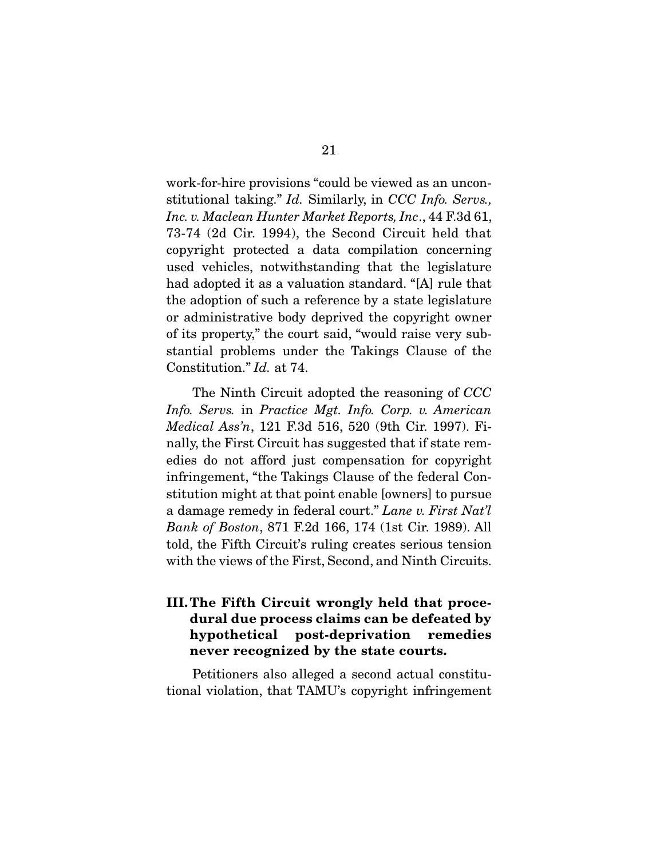work-for-hire provisions "could be viewed as an unconstitutional taking." Id. Similarly, in CCC Info. Servs., Inc. v. Maclean Hunter Market Reports, Inc., 44 F.3d 61, 73-74 (2d Cir. 1994), the Second Circuit held that copyright protected a data compilation concerning used vehicles, notwithstanding that the legislature had adopted it as a valuation standard. "[A] rule that the adoption of such a reference by a state legislature or administrative body deprived the copyright owner of its property," the court said, "would raise very substantial problems under the Takings Clause of the Constitution." Id. at 74.

 The Ninth Circuit adopted the reasoning of CCC Info. Servs. in Practice Mgt. Info. Corp. v. American Medical Ass'n, 121 F.3d 516, 520 (9th Cir. 1997). Finally, the First Circuit has suggested that if state remedies do not afford just compensation for copyright infringement, "the Takings Clause of the federal Constitution might at that point enable [owners] to pursue a damage remedy in federal court." Lane v. First Nat'l Bank of Boston, 871 F.2d 166, 174 (1st Cir. 1989). All told, the Fifth Circuit's ruling creates serious tension with the views of the First, Second, and Ninth Circuits.

### **III. The Fifth Circuit wrongly held that procedural due process claims can be defeated by hypothetical post-deprivation remedies never recognized by the state courts.**

 Petitioners also alleged a second actual constitutional violation, that TAMU's copyright infringement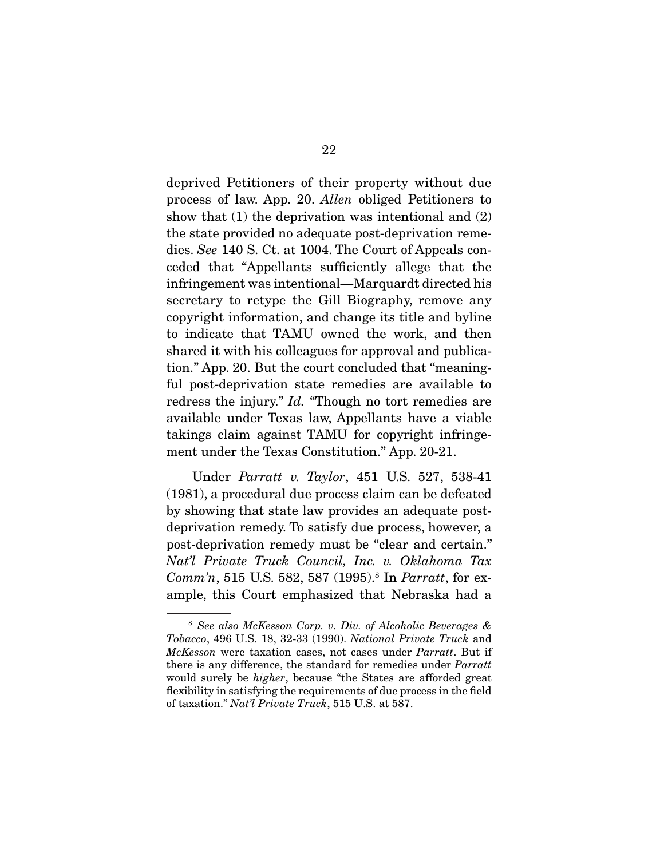deprived Petitioners of their property without due process of law. App. 20. Allen obliged Petitioners to show that (1) the deprivation was intentional and (2) the state provided no adequate post-deprivation remedies. See 140 S. Ct. at 1004. The Court of Appeals conceded that "Appellants sufficiently allege that the infringement was intentional—Marquardt directed his secretary to retype the Gill Biography, remove any copyright information, and change its title and byline to indicate that TAMU owned the work, and then shared it with his colleagues for approval and publication." App. 20. But the court concluded that "meaningful post-deprivation state remedies are available to redress the injury." Id. "Though no tort remedies are available under Texas law, Appellants have a viable takings claim against TAMU for copyright infringement under the Texas Constitution." App. 20-21.

 Under Parratt v. Taylor, 451 U.S. 527, 538-41 (1981), a procedural due process claim can be defeated by showing that state law provides an adequate postdeprivation remedy. To satisfy due process, however, a post-deprivation remedy must be "clear and certain." Nat'l Private Truck Council, Inc. v. Oklahoma Tax Comm'n, 515 U.S. 582, 587 (1995).<sup>8</sup> In Parratt, for example, this Court emphasized that Nebraska had a

<sup>8</sup> See also McKesson Corp. v. Div. of Alcoholic Beverages & Tobacco, 496 U.S. 18, 32-33 (1990). National Private Truck and McKesson were taxation cases, not cases under Parratt. But if there is any difference, the standard for remedies under Parratt would surely be higher, because "the States are afforded great flexibility in satisfying the requirements of due process in the field of taxation." Nat'l Private Truck, 515 U.S. at 587.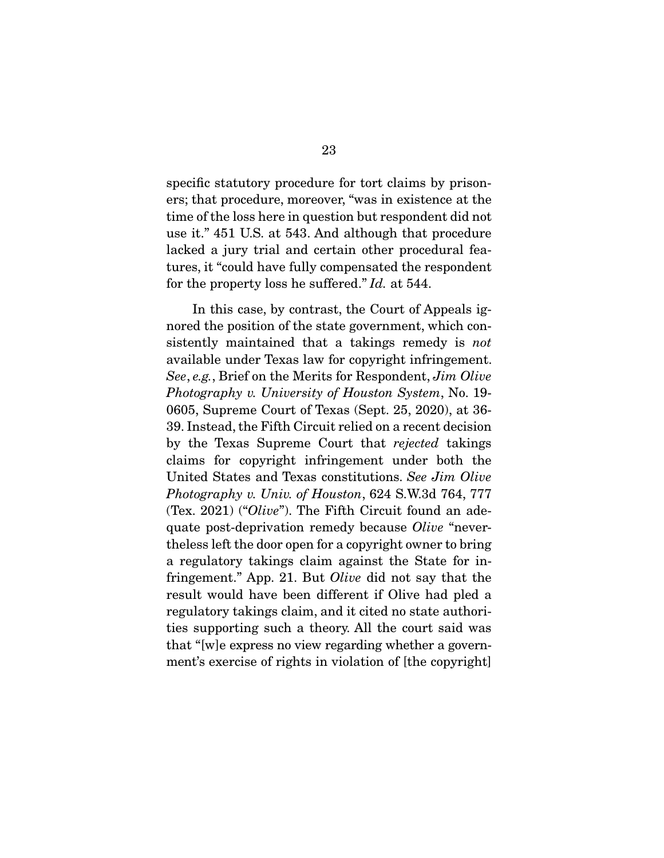specific statutory procedure for tort claims by prisoners; that procedure, moreover, "was in existence at the time of the loss here in question but respondent did not use it." 451 U.S. at 543. And although that procedure lacked a jury trial and certain other procedural features, it "could have fully compensated the respondent for the property loss he suffered." Id. at 544.

 In this case, by contrast, the Court of Appeals ignored the position of the state government, which consistently maintained that a takings remedy is *not* available under Texas law for copyright infringement. See, e.g., Brief on the Merits for Respondent, Jim Olive Photography v. University of Houston System, No. 19- 0605, Supreme Court of Texas (Sept. 25, 2020), at 36- 39. Instead, the Fifth Circuit relied on a recent decision by the Texas Supreme Court that rejected takings claims for copyright infringement under both the United States and Texas constitutions. See Jim Olive Photography v. Univ. of Houston, 624 S.W.3d 764, 777 (Tex. 2021) ("Olive"). The Fifth Circuit found an adequate post-deprivation remedy because Olive "nevertheless left the door open for a copyright owner to bring a regulatory takings claim against the State for infringement." App. 21. But Olive did not say that the result would have been different if Olive had pled a regulatory takings claim, and it cited no state authorities supporting such a theory. All the court said was that "[w]e express no view regarding whether a government's exercise of rights in violation of [the copyright]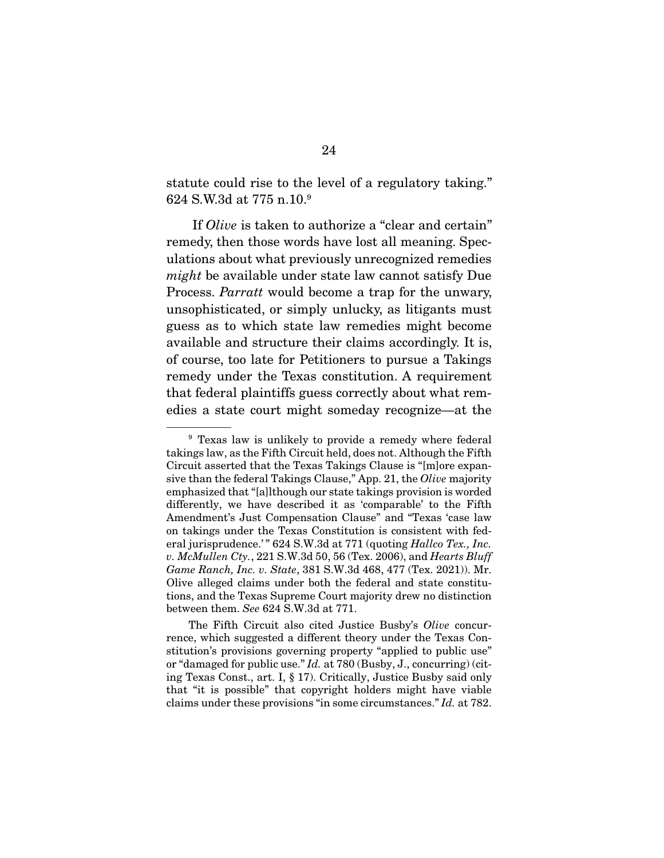statute could rise to the level of a regulatory taking." 624 S.W.3d at 775 n.10.9

 If Olive is taken to authorize a "clear and certain" remedy, then those words have lost all meaning. Speculations about what previously unrecognized remedies might be available under state law cannot satisfy Due Process. Parratt would become a trap for the unwary, unsophisticated, or simply unlucky, as litigants must guess as to which state law remedies might become available and structure their claims accordingly. It is, of course, too late for Petitioners to pursue a Takings remedy under the Texas constitution. A requirement that federal plaintiffs guess correctly about what remedies a state court might someday recognize—at the

<sup>9</sup> Texas law is unlikely to provide a remedy where federal takings law, as the Fifth Circuit held, does not. Although the Fifth Circuit asserted that the Texas Takings Clause is "[m]ore expansive than the federal Takings Clause," App. 21, the Olive majority emphasized that "[a]lthough our state takings provision is worded differently, we have described it as 'comparable' to the Fifth Amendment's Just Compensation Clause" and "Texas 'case law on takings under the Texas Constitution is consistent with federal jurisprudence.'" 624 S.W.3d at 771 (quoting Hallco Tex., Inc. v. McMullen Cty.,  $221$  S.W.3d 50, 56 (Tex. 2006), and Hearts Bluff Game Ranch, Inc. v. State, 381 S.W.3d 468, 477 (Tex. 2021)). Mr. Olive alleged claims under both the federal and state constitutions, and the Texas Supreme Court majority drew no distinction between them. See 624 S.W.3d at 771.

The Fifth Circuit also cited Justice Busby's Olive concurrence, which suggested a different theory under the Texas Constitution's provisions governing property "applied to public use" or "damaged for public use." Id. at 780 (Busby, J., concurring) (citing Texas Const., art. I, § 17). Critically, Justice Busby said only that "it is possible" that copyright holders might have viable claims under these provisions "in some circumstances." Id. at 782.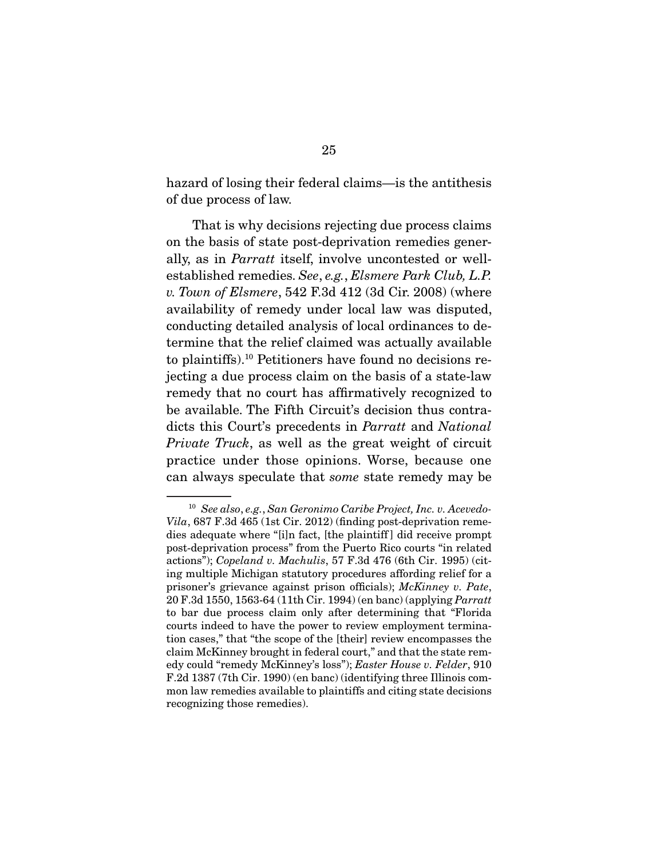hazard of losing their federal claims—is the antithesis of due process of law.

 That is why decisions rejecting due process claims on the basis of state post-deprivation remedies generally, as in Parratt itself, involve uncontested or wellestablished remedies. See, e.g., Elsmere Park Club, L.P. v. Town of Elsmere, 542 F.3d 412 (3d Cir. 2008) (where availability of remedy under local law was disputed, conducting detailed analysis of local ordinances to determine that the relief claimed was actually available to plaintiffs).10 Petitioners have found no decisions rejecting a due process claim on the basis of a state-law remedy that no court has affirmatively recognized to be available. The Fifth Circuit's decision thus contradicts this Court's precedents in Parratt and National Private Truck, as well as the great weight of circuit practice under those opinions. Worse, because one can always speculate that some state remedy may be

<sup>10</sup> See also, e.g., San Geronimo Caribe Project, Inc. v. Acevedo-Vila, 687 F.3d 465 (1st Cir. 2012) (finding post-deprivation remedies adequate where "[i]n fact, [the plaintiff ] did receive prompt post-deprivation process" from the Puerto Rico courts "in related actions"); Copeland v. Machulis, 57 F.3d 476 (6th Cir. 1995) (citing multiple Michigan statutory procedures affording relief for a prisoner's grievance against prison officials); McKinney v. Pate, 20 F.3d 1550, 1563-64 (11th Cir. 1994) (en banc) (applying Parratt to bar due process claim only after determining that "Florida courts indeed to have the power to review employment termination cases," that "the scope of the [their] review encompasses the claim McKinney brought in federal court," and that the state remedy could "remedy McKinney's loss"); Easter House v. Felder, 910 F.2d 1387 (7th Cir. 1990) (en banc) (identifying three Illinois common law remedies available to plaintiffs and citing state decisions recognizing those remedies).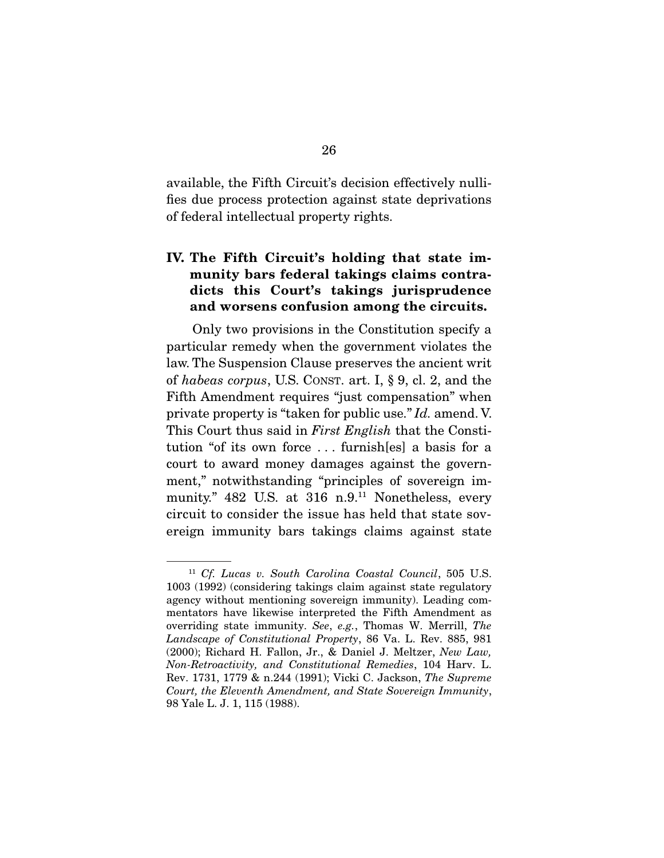available, the Fifth Circuit's decision effectively nullifies due process protection against state deprivations of federal intellectual property rights.

### **IV. The Fifth Circuit's holding that state immunity bars federal takings claims contradicts this Court's takings jurisprudence and worsens confusion among the circuits.**

 Only two provisions in the Constitution specify a particular remedy when the government violates the law. The Suspension Clause preserves the ancient writ of habeas corpus, U.S. CONST. art. I, § 9, cl. 2, and the Fifth Amendment requires "just compensation" when private property is "taken for public use." Id. amend. V. This Court thus said in *First English* that the Constitution "of its own force . . . furnish[es] a basis for a court to award money damages against the government," notwithstanding "principles of sovereign immunity." 482 U.S. at 316 n.9.<sup>11</sup> Nonetheless, every circuit to consider the issue has held that state sovereign immunity bars takings claims against state

<sup>11</sup> Cf. Lucas v. South Carolina Coastal Council, 505 U.S. 1003 (1992) (considering takings claim against state regulatory agency without mentioning sovereign immunity). Leading commentators have likewise interpreted the Fifth Amendment as overriding state immunity. See, e.g., Thomas W. Merrill, The Landscape of Constitutional Property, 86 Va. L. Rev. 885, 981 (2000); Richard H. Fallon, Jr., & Daniel J. Meltzer, New Law, Non-Retroactivity, and Constitutional Remedies, 104 Harv. L. Rev. 1731, 1779 & n.244 (1991); Vicki C. Jackson, The Supreme Court, the Eleventh Amendment, and State Sovereign Immunity, 98 Yale L. J. 1, 115 (1988).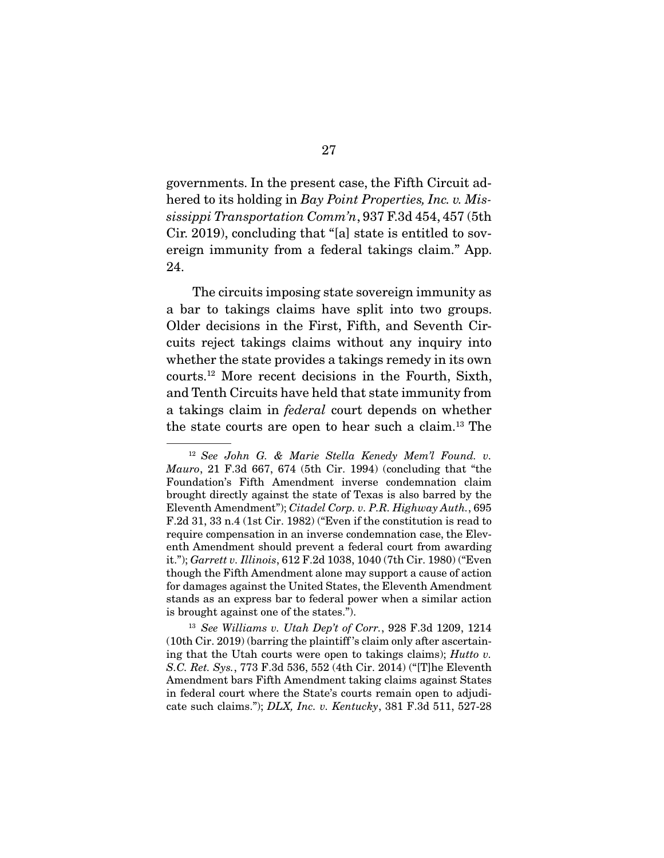governments. In the present case, the Fifth Circuit adhered to its holding in Bay Point Properties, Inc. v. Mississippi Transportation Comm'n, 937 F.3d 454, 457 (5th Cir. 2019), concluding that "[a] state is entitled to sovereign immunity from a federal takings claim." App. 24.

 The circuits imposing state sovereign immunity as a bar to takings claims have split into two groups. Older decisions in the First, Fifth, and Seventh Circuits reject takings claims without any inquiry into whether the state provides a takings remedy in its own courts.12 More recent decisions in the Fourth, Sixth, and Tenth Circuits have held that state immunity from a takings claim in federal court depends on whether the state courts are open to hear such a claim.13 The

<sup>12</sup> See John G. & Marie Stella Kenedy Mem'l Found. v. Mauro, 21 F.3d 667, 674 (5th Cir. 1994) (concluding that "the Foundation's Fifth Amendment inverse condemnation claim brought directly against the state of Texas is also barred by the Eleventh Amendment"); Citadel Corp. v. P.R. Highway Auth., 695 F.2d 31, 33 n.4 (1st Cir. 1982) ("Even if the constitution is read to require compensation in an inverse condemnation case, the Eleventh Amendment should prevent a federal court from awarding it."); Garrett v. Illinois, 612 F.2d 1038, 1040 (7th Cir. 1980) ("Even though the Fifth Amendment alone may support a cause of action for damages against the United States, the Eleventh Amendment stands as an express bar to federal power when a similar action is brought against one of the states.").

 $13$  See Williams v. Utah Dep't of Corr., 928 F.3d 1209, 1214 (10th Cir. 2019) (barring the plaintiff 's claim only after ascertaining that the Utah courts were open to takings claims); Hutto v. S.C. Ret. Sys., 773 F.3d 536, 552 (4th Cir. 2014) ("[T]he Eleventh Amendment bars Fifth Amendment taking claims against States in federal court where the State's courts remain open to adjudicate such claims."); DLX, Inc. v. Kentucky, 381 F.3d 511, 527-28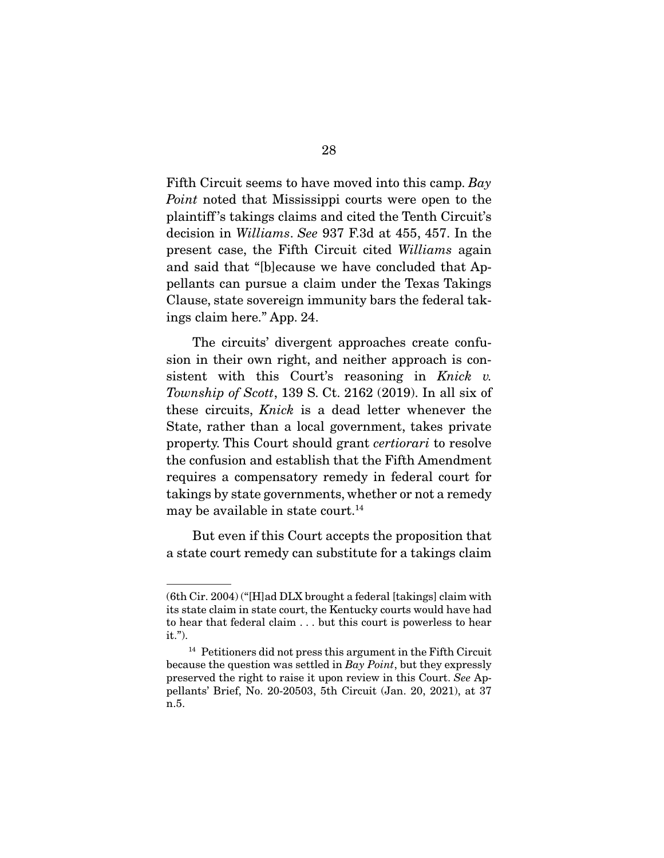Fifth Circuit seems to have moved into this camp. Bay Point noted that Mississippi courts were open to the plaintiff 's takings claims and cited the Tenth Circuit's decision in Williams. See 937 F.3d at 455, 457. In the present case, the Fifth Circuit cited Williams again and said that "[b]ecause we have concluded that Appellants can pursue a claim under the Texas Takings Clause, state sovereign immunity bars the federal takings claim here." App. 24.

 The circuits' divergent approaches create confusion in their own right, and neither approach is consistent with this Court's reasoning in Knick v. Township of Scott, 139 S. Ct. 2162 (2019). In all six of these circuits, Knick is a dead letter whenever the State, rather than a local government, takes private property. This Court should grant certiorari to resolve the confusion and establish that the Fifth Amendment requires a compensatory remedy in federal court for takings by state governments, whether or not a remedy may be available in state court.<sup>14</sup>

 But even if this Court accepts the proposition that a state court remedy can substitute for a takings claim

<sup>(6</sup>th Cir. 2004) ("[H]ad DLX brought a federal [takings] claim with its state claim in state court, the Kentucky courts would have had to hear that federal claim . . . but this court is powerless to hear it.").

<sup>&</sup>lt;sup>14</sup> Petitioners did not press this argument in the Fifth Circuit because the question was settled in Bay Point, but they expressly preserved the right to raise it upon review in this Court. See Appellants' Brief, No. 20-20503, 5th Circuit (Jan. 20, 2021), at 37 n.5.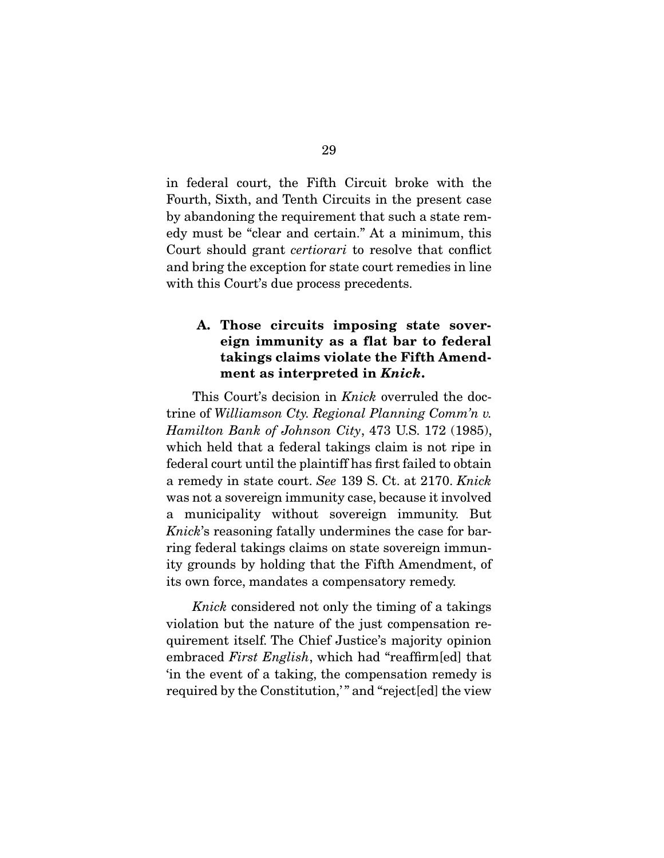in federal court, the Fifth Circuit broke with the Fourth, Sixth, and Tenth Circuits in the present case by abandoning the requirement that such a state remedy must be "clear and certain." At a minimum, this Court should grant certiorari to resolve that conflict and bring the exception for state court remedies in line with this Court's due process precedents.

### **A. Those circuits imposing state sovereign immunity as a flat bar to federal takings claims violate the Fifth Amendment as interpreted in** *Knick***.**

This Court's decision in *Knick* overruled the doctrine of Williamson Cty. Regional Planning Comm'n v. Hamilton Bank of Johnson City, 473 U.S. 172 (1985), which held that a federal takings claim is not ripe in federal court until the plaintiff has first failed to obtain a remedy in state court. See 139 S. Ct. at 2170. Knick was not a sovereign immunity case, because it involved a municipality without sovereign immunity. But Knick's reasoning fatally undermines the case for barring federal takings claims on state sovereign immunity grounds by holding that the Fifth Amendment, of its own force, mandates a compensatory remedy.

Knick considered not only the timing of a takings violation but the nature of the just compensation requirement itself. The Chief Justice's majority opinion embraced First English, which had "reaffirm[ed] that 'in the event of a taking, the compensation remedy is required by the Constitution," and "reject[ed] the view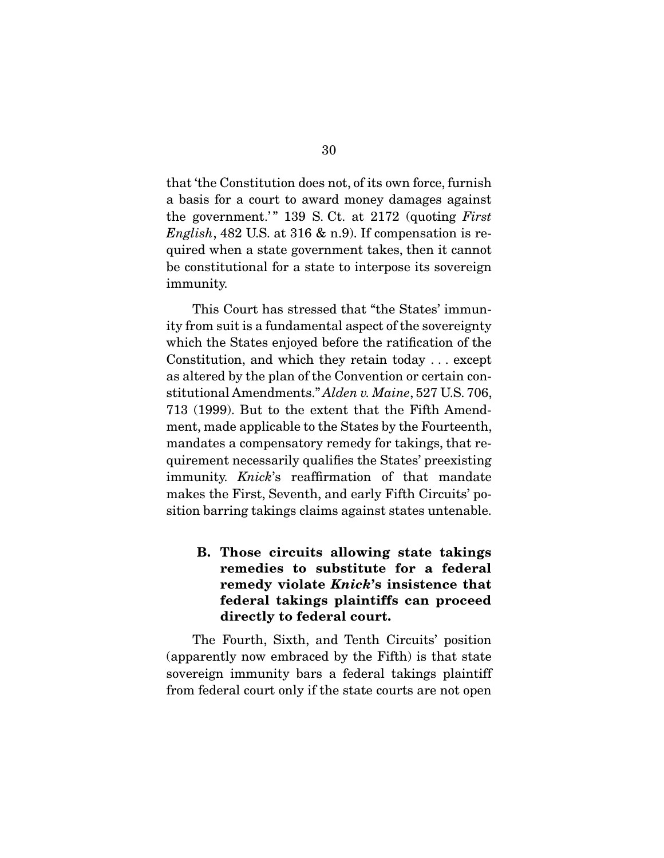that 'the Constitution does not, of its own force, furnish a basis for a court to award money damages against the government.'" 139 S. Ct. at  $2172$  (quoting First English, 482 U.S. at 316  $\&$  n.9). If compensation is required when a state government takes, then it cannot be constitutional for a state to interpose its sovereign immunity.

 This Court has stressed that "the States' immunity from suit is a fundamental aspect of the sovereignty which the States enjoyed before the ratification of the Constitution, and which they retain today . . . except as altered by the plan of the Convention or certain constitutional Amendments." Alden v. Maine, 527 U.S. 706, 713 (1999). But to the extent that the Fifth Amendment, made applicable to the States by the Fourteenth, mandates a compensatory remedy for takings, that requirement necessarily qualifies the States' preexisting immunity. Knick's reaffirmation of that mandate makes the First, Seventh, and early Fifth Circuits' position barring takings claims against states untenable.

**B. Those circuits allowing state takings remedies to substitute for a federal remedy violate** *Knick***'s insistence that federal takings plaintiffs can proceed directly to federal court.** 

 The Fourth, Sixth, and Tenth Circuits' position (apparently now embraced by the Fifth) is that state sovereign immunity bars a federal takings plaintiff from federal court only if the state courts are not open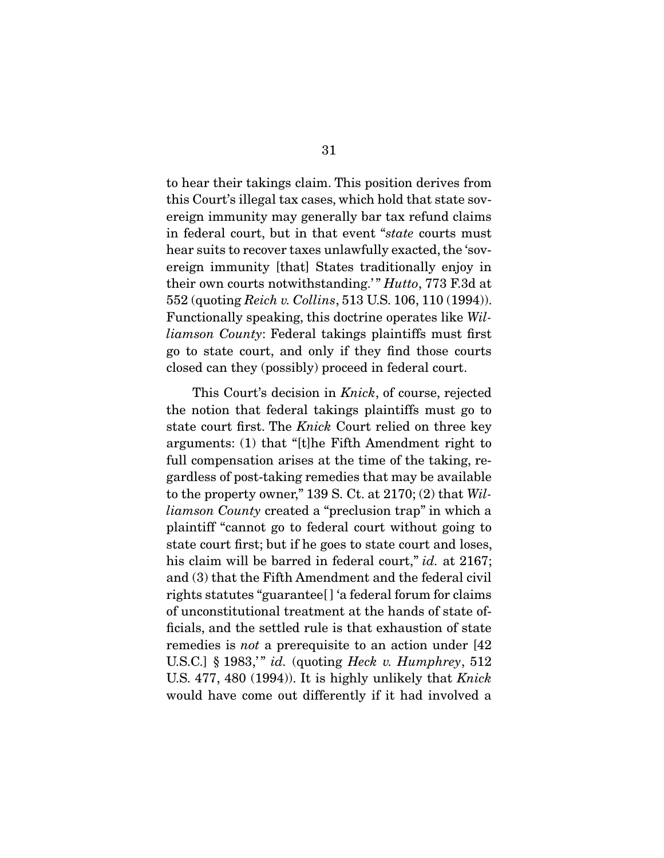to hear their takings claim. This position derives from this Court's illegal tax cases, which hold that state sovereign immunity may generally bar tax refund claims in federal court, but in that event "state courts must hear suits to recover taxes unlawfully exacted, the 'sovereign immunity [that] States traditionally enjoy in their own courts notwithstanding.'" *Hutto*, 773 F.3d at 552 (quoting Reich v. Collins, 513 U.S. 106, 110 (1994)). Functionally speaking, this doctrine operates like Williamson County: Federal takings plaintiffs must first go to state court, and only if they find those courts closed can they (possibly) proceed in federal court.

 This Court's decision in Knick, of course, rejected the notion that federal takings plaintiffs must go to state court first. The Knick Court relied on three key arguments: (1) that "[t]he Fifth Amendment right to full compensation arises at the time of the taking, regardless of post-taking remedies that may be available to the property owner," 139 S. Ct. at  $2170$ ; (2) that *Wil*liamson County created a "preclusion trap" in which a plaintiff "cannot go to federal court without going to state court first; but if he goes to state court and loses, his claim will be barred in federal court," *id.* at 2167; and (3) that the Fifth Amendment and the federal civil rights statutes "guarantee[ ] 'a federal forum for claims of unconstitutional treatment at the hands of state officials, and the settled rule is that exhaustion of state remedies is not a prerequisite to an action under [42 U.S.C.] § 1983,'" id. (quoting Heck v. Humphrey,  $512$ U.S. 477, 480 (1994)). It is highly unlikely that Knick would have come out differently if it had involved a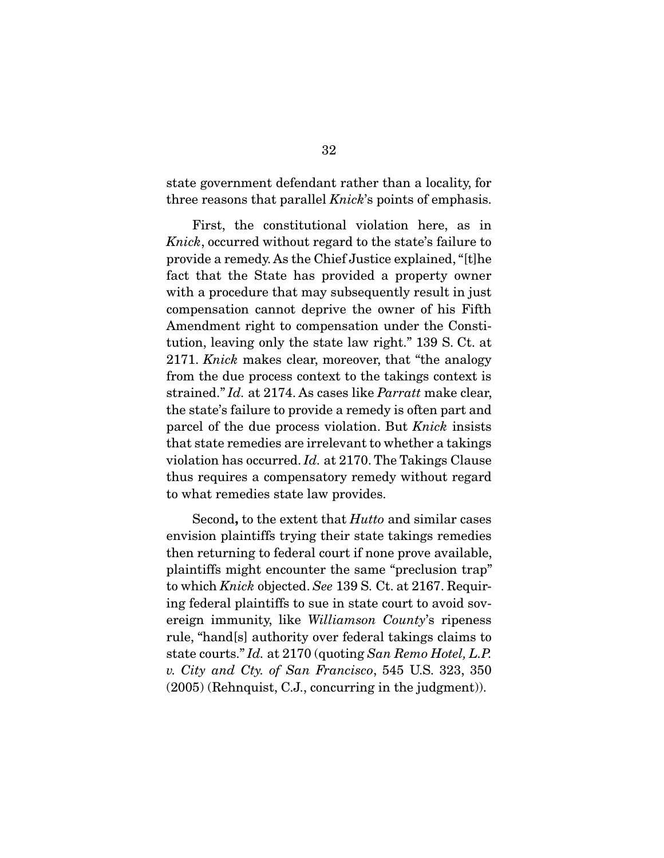state government defendant rather than a locality, for three reasons that parallel *Knick*'s points of emphasis.

 First, the constitutional violation here, as in Knick, occurred without regard to the state's failure to provide a remedy. As the Chief Justice explained, "[t]he fact that the State has provided a property owner with a procedure that may subsequently result in just compensation cannot deprive the owner of his Fifth Amendment right to compensation under the Constitution, leaving only the state law right." 139 S. Ct. at 2171. Knick makes clear, moreover, that "the analogy from the due process context to the takings context is strained." Id. at 2174. As cases like *Parratt* make clear, the state's failure to provide a remedy is often part and parcel of the due process violation. But Knick insists that state remedies are irrelevant to whether a takings violation has occurred. Id. at 2170. The Takings Clause thus requires a compensatory remedy without regard to what remedies state law provides.

 Second**,** to the extent that Hutto and similar cases envision plaintiffs trying their state takings remedies then returning to federal court if none prove available, plaintiffs might encounter the same "preclusion trap" to which Knick objected. See 139 S. Ct. at 2167. Requiring federal plaintiffs to sue in state court to avoid sovereign immunity, like Williamson County's ripeness rule, "hand[s] authority over federal takings claims to state courts." Id. at 2170 (quoting San Remo Hotel, L.P. v. City and Cty. of San Francisco, 545 U.S. 323, 350 (2005) (Rehnquist, C.J., concurring in the judgment)).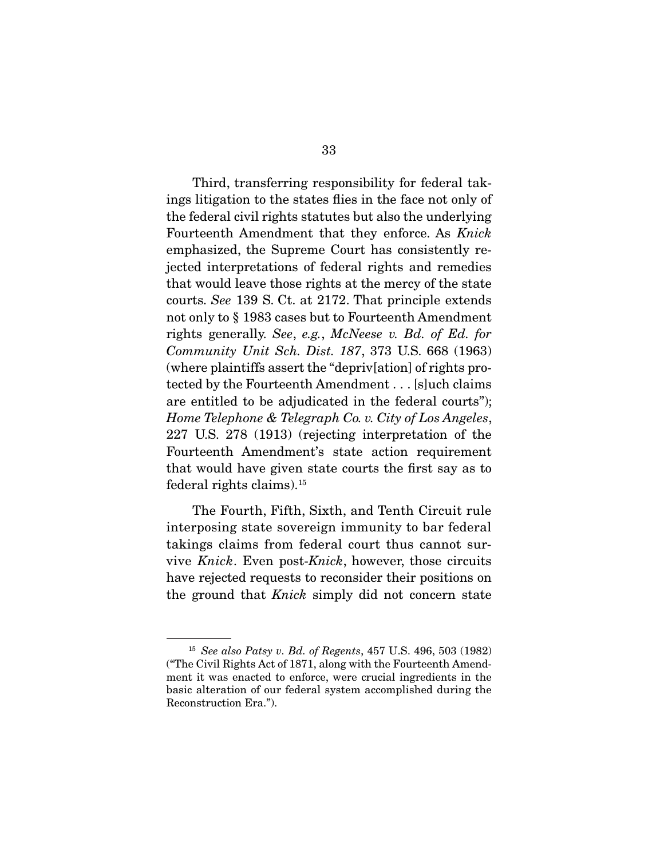Third, transferring responsibility for federal takings litigation to the states flies in the face not only of the federal civil rights statutes but also the underlying Fourteenth Amendment that they enforce. As Knick emphasized, the Supreme Court has consistently rejected interpretations of federal rights and remedies that would leave those rights at the mercy of the state courts. See 139 S. Ct. at 2172. That principle extends not only to § 1983 cases but to Fourteenth Amendment rights generally. See, e.g., McNeese v. Bd. of Ed. for Community Unit Sch. Dist. 187, 373 U.S. 668 (1963) (where plaintiffs assert the "depriv[ation] of rights protected by the Fourteenth Amendment . . . [s]uch claims are entitled to be adjudicated in the federal courts"); Home Telephone & Telegraph Co. v. City of Los Angeles, 227 U.S. 278 (1913) (rejecting interpretation of the Fourteenth Amendment's state action requirement that would have given state courts the first say as to federal rights claims).15

 The Fourth, Fifth, Sixth, and Tenth Circuit rule interposing state sovereign immunity to bar federal takings claims from federal court thus cannot survive Knick. Even post-Knick, however, those circuits have rejected requests to reconsider their positions on the ground that *Knick* simply did not concern state

 $15$  See also Patsy v. Bd. of Regents, 457 U.S. 496, 503 (1982) ("The Civil Rights Act of 1871, along with the Fourteenth Amendment it was enacted to enforce, were crucial ingredients in the basic alteration of our federal system accomplished during the Reconstruction Era.").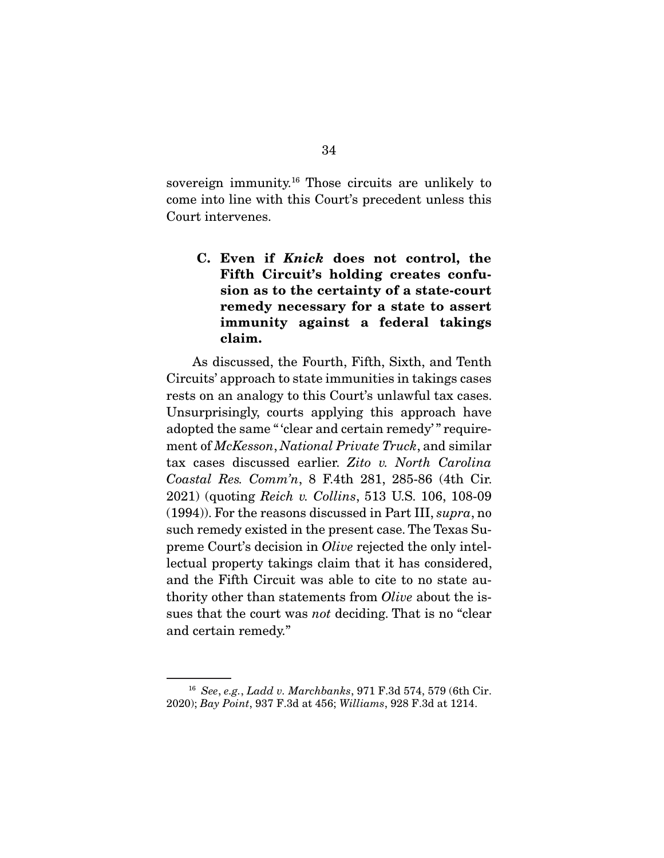sovereign immunity.16 Those circuits are unlikely to come into line with this Court's precedent unless this Court intervenes.

**C. Even if** *Knick* **does not control, the Fifth Circuit's holding creates confusion as to the certainty of a state-court remedy necessary for a state to assert immunity against a federal takings claim.** 

 As discussed, the Fourth, Fifth, Sixth, and Tenth Circuits' approach to state immunities in takings cases rests on an analogy to this Court's unlawful tax cases. Unsurprisingly, courts applying this approach have adopted the same " 'clear and certain remedy' " requirement of McKesson, National Private Truck, and similar tax cases discussed earlier. Zito v. North Carolina Coastal Res. Comm'n, 8 F.4th 281, 285-86 (4th Cir. 2021) (quoting Reich v. Collins, 513 U.S. 106, 108-09 (1994)). For the reasons discussed in Part III, supra, no such remedy existed in the present case. The Texas Supreme Court's decision in Olive rejected the only intellectual property takings claim that it has considered, and the Fifth Circuit was able to cite to no state authority other than statements from Olive about the issues that the court was not deciding. That is no "clear and certain remedy."

<sup>16</sup> See, e.g., Ladd v. Marchbanks, 971 F.3d 574, 579 (6th Cir. 2020); Bay Point, 937 F.3d at 456; Williams, 928 F.3d at 1214.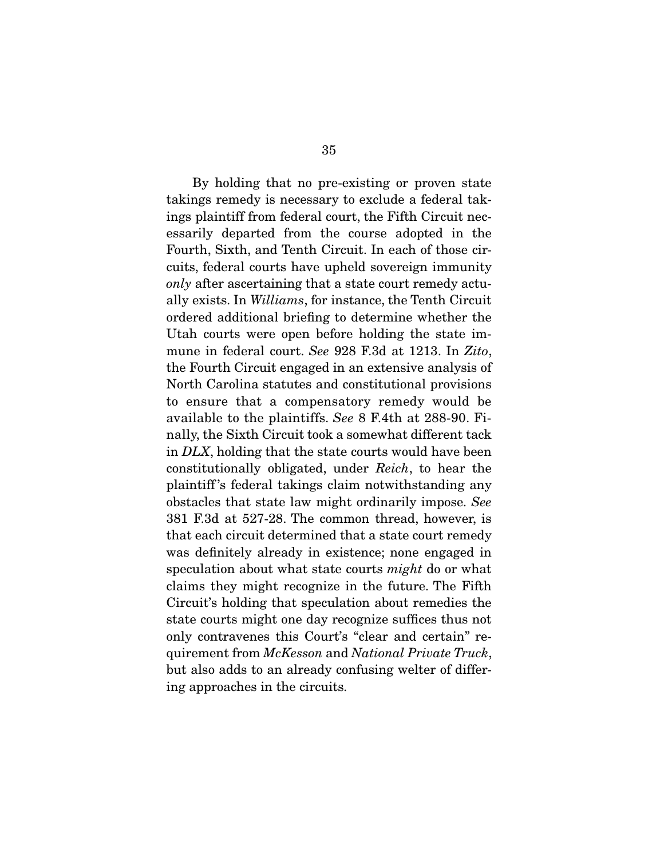By holding that no pre-existing or proven state takings remedy is necessary to exclude a federal takings plaintiff from federal court, the Fifth Circuit necessarily departed from the course adopted in the Fourth, Sixth, and Tenth Circuit. In each of those circuits, federal courts have upheld sovereign immunity only after ascertaining that a state court remedy actually exists. In Williams, for instance, the Tenth Circuit ordered additional briefing to determine whether the Utah courts were open before holding the state immune in federal court. See 928 F.3d at 1213. In Zito, the Fourth Circuit engaged in an extensive analysis of North Carolina statutes and constitutional provisions to ensure that a compensatory remedy would be available to the plaintiffs. See 8 F.4th at 288-90. Finally, the Sixth Circuit took a somewhat different tack in DLX, holding that the state courts would have been constitutionally obligated, under Reich, to hear the plaintiff 's federal takings claim notwithstanding any obstacles that state law might ordinarily impose. See 381 F.3d at 527-28. The common thread, however, is that each circuit determined that a state court remedy was definitely already in existence; none engaged in speculation about what state courts *might* do or what claims they might recognize in the future. The Fifth Circuit's holding that speculation about remedies the state courts might one day recognize suffices thus not only contravenes this Court's "clear and certain" requirement from McKesson and National Private Truck, but also adds to an already confusing welter of differing approaches in the circuits.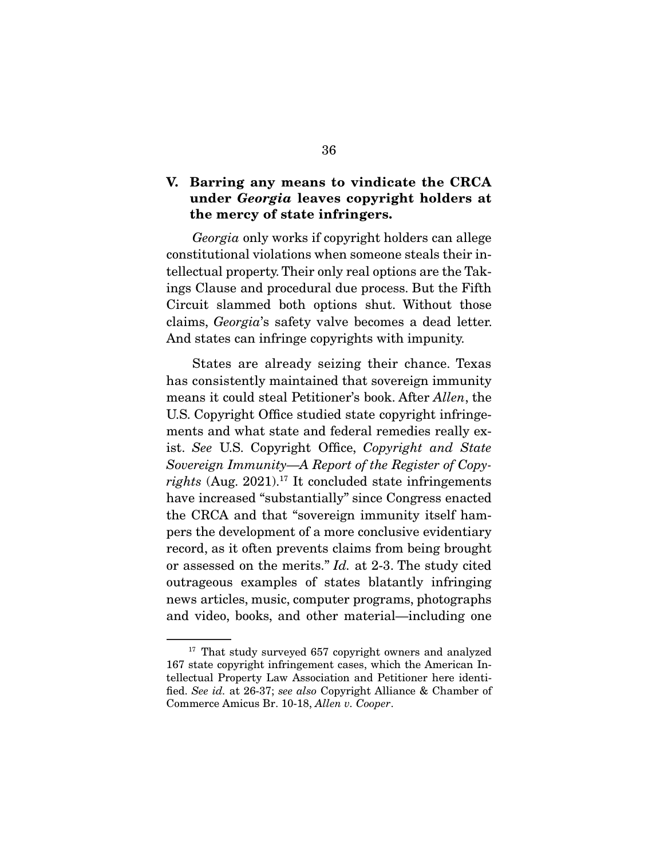### **V. Barring any means to vindicate the CRCA under** *Georgia* **leaves copyright holders at the mercy of state infringers.**

Georgia only works if copyright holders can allege constitutional violations when someone steals their intellectual property. Their only real options are the Takings Clause and procedural due process. But the Fifth Circuit slammed both options shut. Without those claims, Georgia's safety valve becomes a dead letter. And states can infringe copyrights with impunity.

 States are already seizing their chance. Texas has consistently maintained that sovereign immunity means it could steal Petitioner's book. After Allen, the U.S. Copyright Office studied state copyright infringements and what state and federal remedies really exist. See U.S. Copyright Office, Copyright and State Sovereign Immunity—A Report of the Register of Copyrights (Aug. 2021).<sup>17</sup> It concluded state infringements have increased "substantially" since Congress enacted the CRCA and that "sovereign immunity itself hampers the development of a more conclusive evidentiary record, as it often prevents claims from being brought or assessed on the merits." Id. at 2-3. The study cited outrageous examples of states blatantly infringing news articles, music, computer programs, photographs and video, books, and other material—including one

<sup>&</sup>lt;sup>17</sup> That study surveyed 657 copyright owners and analyzed 167 state copyright infringement cases, which the American Intellectual Property Law Association and Petitioner here identified. See id. at 26-37; see also Copyright Alliance & Chamber of Commerce Amicus Br. 10-18, Allen v. Cooper.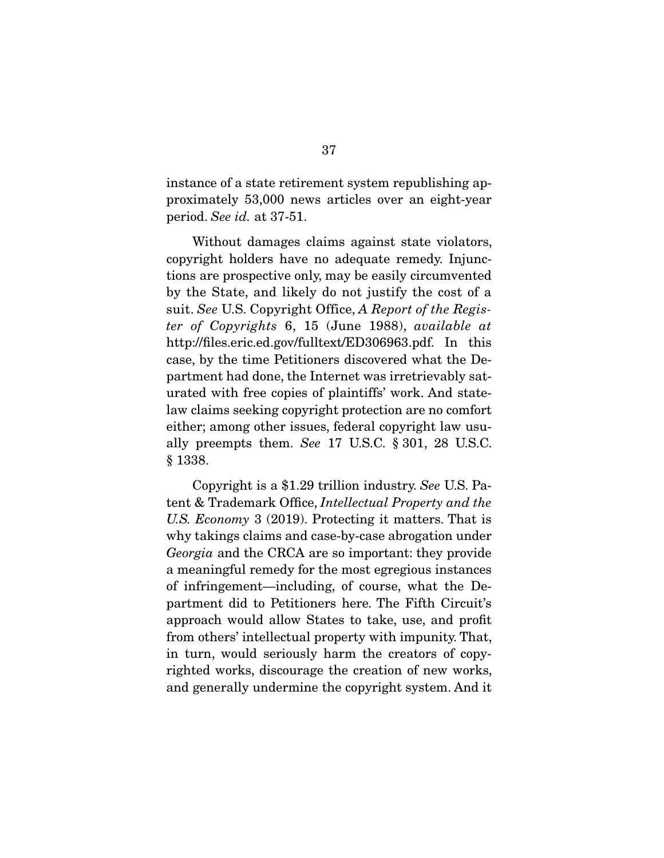instance of a state retirement system republishing approximately 53,000 news articles over an eight-year period. See id. at 37-51.

 Without damages claims against state violators, copyright holders have no adequate remedy. Injunctions are prospective only, may be easily circumvented by the State, and likely do not justify the cost of a suit. See U.S. Copyright Office, A Report of the Register of Copyrights 6, 15 (June 1988), available at http://files.eric.ed.gov/fulltext/ED306963.pdf. In this case, by the time Petitioners discovered what the Department had done, the Internet was irretrievably saturated with free copies of plaintiffs' work. And statelaw claims seeking copyright protection are no comfort either; among other issues, federal copyright law usually preempts them. See 17 U.S.C. § 301, 28 U.S.C. § 1338.

 Copyright is a \$1.29 trillion industry. See U.S. Patent & Trademark Office, Intellectual Property and the U.S. Economy 3 (2019). Protecting it matters. That is why takings claims and case-by-case abrogation under Georgia and the CRCA are so important: they provide a meaningful remedy for the most egregious instances of infringement—including, of course, what the Department did to Petitioners here. The Fifth Circuit's approach would allow States to take, use, and profit from others' intellectual property with impunity. That, in turn, would seriously harm the creators of copyrighted works, discourage the creation of new works, and generally undermine the copyright system. And it